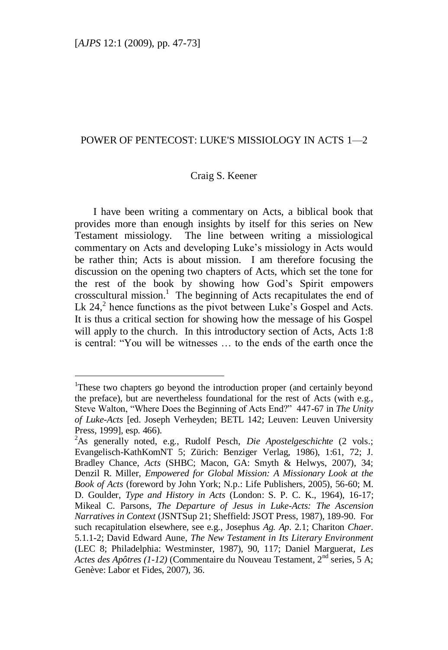# POWER OF PENTECOST: LUKE'S MISSIOLOGY IN ACTS 1—2

## Craig S. Keener

I have been writing a commentary on Acts, a biblical book that provides more than enough insights by itself for this series on New Testament missiology. The line between writing a missiological commentary on Acts and developing Luke"s missiology in Acts would be rather thin; Acts is about mission. I am therefore focusing the discussion on the opening two chapters of Acts, which set the tone for the rest of the book by showing how God"s Spirit empowers crosscultural mission.<sup>1</sup> The beginning of Acts recapitulates the end of Lk  $24$ , hence functions as the pivot between Luke's Gospel and Acts. It is thus a critical section for showing how the message of his Gospel will apply to the church. In this introductory section of Acts, Acts 1:8 is central: "You will be witnesses … to the ends of the earth once the

<sup>&</sup>lt;sup>1</sup>These two chapters go beyond the introduction proper (and certainly beyond the preface), but are nevertheless foundational for the rest of Acts (with e.g., Steve Walton, "Where Does the Beginning of Acts End?" 447-67 in *The Unity of Luke-Acts* [ed. Joseph Verheyden; BETL 142; Leuven: Leuven University Press, 1999], esp. 466).

<sup>2</sup>As generally noted, e.g., Rudolf Pesch, *Die Apostelgeschichte* (2 vols.; Evangelisch-KathKomNT 5; Zürich: Benziger Verlag, 1986), 1:61, 72; J. Bradley Chance, *Acts* (SHBC; Macon, GA: Smyth & Helwys, 2007), 34; Denzil R. Miller, *Empowered for Global Mission: A Missionary Look at the Book of Acts* (foreword by John York; N.p.: Life Publishers, 2005), 56-60; M. D. Goulder, *Type and History in Acts* (London: S. P. C. K., 1964), 16-17; Mikeal C. Parsons, *The Departure of Jesus in Luke-Acts: The Ascension Narratives in Context* (JSNTSup 21; Sheffield: JSOT Press, 1987), 189-90. For such recapitulation elsewhere, see e.g., Josephus *Ag. Ap*. 2.1; Chariton *Chaer*. 5.1.1-2; David Edward Aune, *The New Testament in Its Literary Environment* (LEC 8; Philadelphia: Westminster, 1987), 90, 117; Daniel Marguerat, *Les Actes des Apôtres (1-12)* (Commentaire du Nouveau Testament, 2nd series, 5 A; Genève: Labor et Fides, 2007), 36.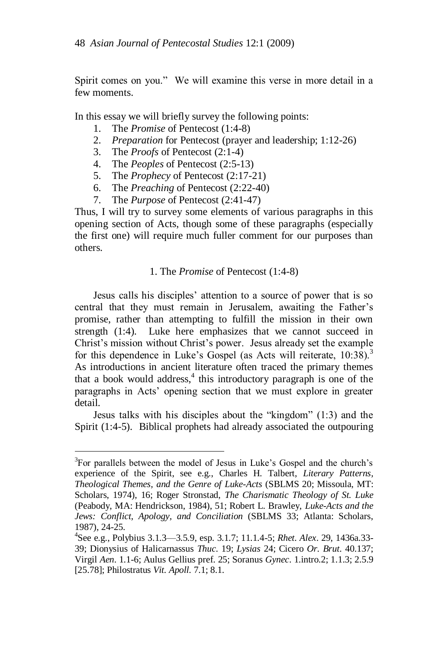Spirit comes on you." We will examine this verse in more detail in a few moments.

In this essay we will briefly survey the following points:

- 1. The *Promise* of Pentecost (1:4-8)
- 2. *Preparation* for Pentecost (prayer and leadership; 1:12-26)
- 3. The *Proofs* of Pentecost (2:1-4)

 $\overline{a}$ 

- 4. The *Peoples* of Pentecost (2:5-13)
- 5. The *Prophecy* of Pentecost (2:17-21)
- 6. The *Preaching* of Pentecost (2:22-40)
- 7. The *Purpose* of Pentecost (2:41-47)

Thus, I will try to survey some elements of various paragraphs in this opening section of Acts, though some of these paragraphs (especially the first one) will require much fuller comment for our purposes than others.

## 1. The *Promise* of Pentecost (1:4-8)

Jesus calls his disciples" attention to a source of power that is so central that they must remain in Jerusalem, awaiting the Father"s promise, rather than attempting to fulfill the mission in their own strength (1:4). Luke here emphasizes that we cannot succeed in Christ"s mission without Christ"s power. Jesus already set the example for this dependence in Luke's Gospel (as Acts will reiterate,  $10:38$ ).<sup>3</sup> As introductions in ancient literature often traced the primary themes that a book would address,<sup>4</sup> this introductory paragraph is one of the paragraphs in Acts" opening section that we must explore in greater detail.

Jesus talks with his disciples about the "kingdom" (1:3) and the Spirit (1:4-5). Biblical prophets had already associated the outpouring

<sup>&</sup>lt;sup>3</sup>For parallels between the model of Jesus in Luke's Gospel and the church's experience of the Spirit, see e.g., Charles H. Talbert, *Literary Patterns, Theological Themes, and the Genre of Luke-Acts* (SBLMS 20; Missoula, MT: Scholars, 1974), 16; Roger Stronstad, *The Charismatic Theology of St. Luke* (Peabody, MA: Hendrickson, 1984), 51; Robert L. Brawley, *Luke-Acts and the Jews: Conflict, Apology, and Conciliation* (SBLMS 33; Atlanta: Scholars, 1987), 24-25.

<sup>4</sup> See e.g., Polybius 3.1.3—3.5.9, esp. 3.1.7; 11.1.4-5; *Rhet. Alex*. 29, 1436a.33- 39; Dionysius of Halicarnassus *Thuc*. 19; *Lysias* 24; Cicero *Or. Brut*. 40.137; Virgil *Aen*. 1.1-6; Aulus Gellius pref. 25; Soranus *Gynec*. 1.intro.2; 1.1.3; 2.5.9 [25.78]; Philostratus *Vit. Apoll.* 7.1; 8.1.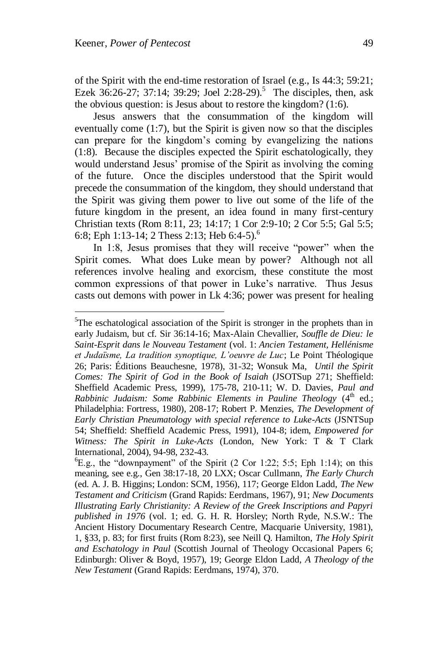l

of the Spirit with the end-time restoration of Israel (e.g., Is 44:3; 59:21; Ezek 36:26-27; 37:14; 39:29; Joel 2:28-29).<sup>5</sup> The disciples, then, ask the obvious question: is Jesus about to restore the kingdom? (1:6).

Jesus answers that the consummation of the kingdom will eventually come (1:7), but the Spirit is given now so that the disciples can prepare for the kingdom"s coming by evangelizing the nations (1:8). Because the disciples expected the Spirit eschatologically, they would understand Jesus" promise of the Spirit as involving the coming of the future. Once the disciples understood that the Spirit would precede the consummation of the kingdom, they should understand that the Spirit was giving them power to live out some of the life of the future kingdom in the present, an idea found in many first-century Christian texts (Rom 8:11, 23; 14:17; 1 Cor 2:9-10; 2 Cor 5:5; Gal 5:5; 6:8; Eph 1:13-14; 2 Thess 2:13; Heb 6:4-5).<sup>6</sup>

In 1:8, Jesus promises that they will receive "power" when the Spirit comes. What does Luke mean by power? Although not all references involve healing and exorcism, these constitute the most common expressions of that power in Luke"s narrative. Thus Jesus casts out demons with power in Lk 4:36; power was present for healing

 $5$ The eschatological association of the Spirit is stronger in the prophets than in early Judaism, but cf. Sir 36:14-16; Max-Alain Chevallier, *Souffle de Dieu: le Saint-Esprit dans le Nouveau Testament* (vol. 1: *Ancien Testament, Hellénisme et Judaïsme, La tradition synoptique, L"oeuvre de Luc*; Le Point Théologique 26; Paris: Éditions Beauchesne, 1978), 31-32; Wonsuk Ma, *Until the Spirit Comes: The Spirit of God in the Book of Isaiah* (JSOTSup 271; Sheffield: Sheffield Academic Press, 1999), 175-78, 210-11; W. D. Davies, *Paul and Rabbinic Judaism: Some Rabbinic Elements in Pauline Theology* (4<sup>th</sup> ed.; Philadelphia: Fortress, 1980), 208-17; Robert P. Menzies, *The Development of Early Christian Pneumatology with special reference to Luke-Acts* (JSNTSup 54; Sheffield: Sheffield Academic Press, 1991), 104-8; idem, *Empowered for Witness: The Spirit in Luke-Acts* (London, New York: T & T Clark International, 2004), 94-98, 232-43.

 ${}^{6}E.g.,$  the "downpayment" of the Spirit (2 Cor 1:22; 5:5; Eph 1:14); on this meaning, see e.g., Gen 38:17-18, 20 LXX; Oscar Cullmann, *The Early Church* (ed. A. J. B. Higgins; London: SCM, 1956), 117; George Eldon Ladd, *The New Testament and Criticism* (Grand Rapids: Eerdmans, 1967), 91; *New Documents Illustrating Early Christianity: A Review of the Greek Inscriptions and Papyri published in 1976* (vol. 1; ed. G. H. R. Horsley; North Ryde, N.S.W.: The Ancient History Documentary Research Centre, Macquarie University, 1981), 1, §33, p. 83; for first fruits (Rom 8:23), see Neill Q. Hamilton, *The Holy Spirit and Eschatology in Paul* (Scottish Journal of Theology Occasional Papers 6; Edinburgh: Oliver & Boyd, 1957), 19; George Eldon Ladd, *A Theology of the New Testament* (Grand Rapids: Eerdmans, 1974), 370.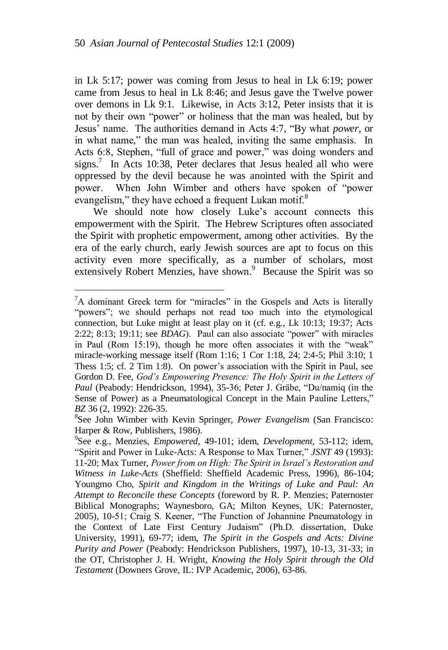in Lk 5:17; power was coming from Jesus to heal in Lk 6:19; power came from Jesus to heal in Lk 8:46; and Jesus gave the Twelve power over demons in Lk 9:1. Likewise, in Acts 3:12, Peter insists that it is not by their own "power" or holiness that the man was healed, but by Jesus" name. The authorities demand in Acts 4:7, "By what *power*, or in what name," the man was healed, inviting the same emphasis. In Acts 6:8, Stephen, "full of grace and power," was doing wonders and signs.<sup>7</sup> In Acts 10:38, Peter declares that Jesus healed all who were oppressed by the devil because he was anointed with the Spirit and power. When John Wimber and others have spoken of "power evangelism," they have echoed a frequent Lukan motif.<sup>8</sup>

We should note how closely Luke's account connects this empowerment with the Spirit. The Hebrew Scriptures often associated the Spirit with prophetic empowerment, among other activities. By the era of the early church, early Jewish sources are apt to focus on this activity even more specifically, as a number of scholars, most extensively Robert Menzies, have shown.<sup>9</sup> Because the Spirit was so

 ${}^{7}$ A dominant Greek term for "miracles" in the Gospels and Acts is literally "powers"; we should perhaps not read too much into the etymological connection, but Luke might at least play on it (cf. e.g., Lk 10:13; 19:37; Acts 2:22; 8:13; 19:11; see *BDAG*). Paul can also associate "power" with miracles in Paul (Rom 15:19), though he more often associates it with the "weak" miracle-working message itself (Rom 1:16; 1 Cor 1:18, 24; 2:4-5; Phil 3:10; 1 Thess 1:5; cf. 2 Tim 1:8). On power's association with the Spirit in Paul, see Gordon D. Fee, *God"s Empowering Presence: The Holy Spirit in the Letters of Paul* (Peabody: Hendrickson, 1994), 35-36; Peter J. Gräbe, "Du/namiq (in the Sense of Power) as a Pneumatological Concept in the Main Pauline Letters," *BZ* 36 (2, 1992): 226-35.

<sup>8</sup> See John Wimber with Kevin Springer, *Power Evangelism* (San Francisco: Harper & Row, Publishers, 1986).

<sup>9</sup> See e.g., Menzies, *Empowered*, 49-101; idem, *Development*, 53-112; idem, "Spirit and Power in Luke-Acts: A Response to Max Turner," *JSNT* 49 (1993): 11-20; Max Turner, *Power from on High: The Spirit in Israel"s Restoration and Witness in Luke-Acts* (Sheffield: Sheffield Academic Press, 1996), 86-104; Youngmo Cho, *Spirit and Kingdom in the Writings of Luke and Paul: An Attempt to Reconcile these Concepts* (foreword by R. P. Menzies; Paternoster Biblical Monographs; Waynesboro, GA; Milton Keynes, UK: Paternoster, 2005), 10-51; Craig S. Keener, "The Function of Johannine Pneumatology in the Context of Late First Century Judaism" (Ph.D. dissertation, Duke University, 1991), 69-77; idem, *The Spirit in the Gospels and Acts: Divine Purity and Power* (Peabody: Hendrickson Publishers, 1997), 10-13, 31-33; in the OT, Christopher J. H. Wright, *Knowing the Holy Spirit through the Old Testament* (Downers Grove, IL: IVP Academic, 2006), 63-86.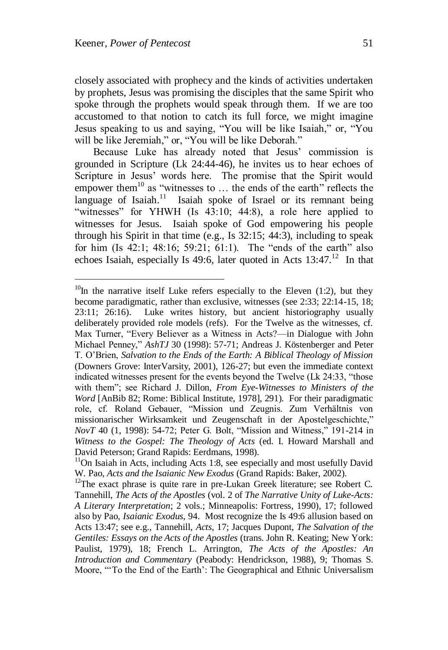closely associated with prophecy and the kinds of activities undertaken by prophets, Jesus was promising the disciples that the same Spirit who spoke through the prophets would speak through them. If we are too accustomed to that notion to catch its full force, we might imagine Jesus speaking to us and saying, "You will be like Isaiah," or, "You will be like Jeremiah," or, "You will be like Deborah."

Because Luke has already noted that Jesus' commission is grounded in Scripture (Lk 24:44-46), he invites us to hear echoes of Scripture in Jesus" words here. The promise that the Spirit would empower them<sup>10</sup> as "witnesses to  $\ldots$  the ends of the earth" reflects the language of Isaiah.<sup>11</sup> Isaiah spoke of Israel or its remnant being "witnesses" for YHWH (Is  $43:10$ ;  $44:8$ ), a role here applied to witnesses for Jesus. Isaiah spoke of God empowering his people through his Spirit in that time (e.g., Is 32:15; 44:3), including to speak for him  $(Is\ 42:1; 48:16; 59:21; 61:1)$ . The "ends of the earth" also echoes Isaiah, especially Is 49:6, later quoted in Acts  $13:47<sup>12</sup>$  In that

 $10$ In the narrative itself Luke refers especially to the Eleven (1:2), but they become paradigmatic, rather than exclusive, witnesses (see 2:33; 22:14-15, 18; 23:11; 26:16). Luke writes history, but ancient historiography usually deliberately provided role models (refs). For the Twelve as the witnesses, cf. Max Turner, "Every Believer as a Witness in Acts?—in Dialogue with John Michael Penney," *AshTJ* 30 (1998): 57-71; Andreas J. Köstenberger and Peter T. O"Brien, *Salvation to the Ends of the Earth: A Biblical Theology of Mission* (Downers Grove: InterVarsity, 2001), 126-27; but even the immediate context indicated witnesses present for the events beyond the Twelve (Lk 24:33, "those with them"; see Richard J. Dillon, *From Eye-Witnesses to Ministers of the Word* [AnBib 82; Rome: Biblical Institute, 1978], 291). For their paradigmatic role, cf. Roland Gebauer, "Mission und Zeugnis. Zum Verhältnis von missionarischer Wirksamkeit und Zeugenschaft in der Apostelgeschichte," *NovT* 40 (1, 1998): 54-72; Peter G. Bolt, "Mission and Witness," 191-214 in *Witness to the Gospel: The Theology of Acts* (ed. I. Howard Marshall and David Peterson; Grand Rapids: Eerdmans, 1998).

 $11$ On Isaiah in Acts, including Acts 1:8, see especially and most usefully David W. Pao, *Acts and the Isaianic New Exodus* (Grand Rapids: Baker, 2002).

<sup>&</sup>lt;sup>12</sup>The exact phrase is quite rare in pre-Lukan Greek literature; see Robert C. Tannehill, *The Acts of the Apostles* (vol. 2 of *The Narrative Unity of Luke-Acts: A Literary Interpretation*; 2 vols.; Minneapolis: Fortress, 1990), 17; followed also by Pao, *Isaianic Exodus*, 94. Most recognize the Is 49:6 allusion based on Acts 13:47; see e.g., Tannehill, *Acts*, 17; Jacques Dupont, *The Salvation of the Gentiles: Essays on the Acts of the Apostles* (trans. John R. Keating; New York: Paulist, 1979), 18; French L. Arrington, *The Acts of the Apostles: An Introduction and Commentary* (Peabody: Hendrickson, 1988), 9; Thomas S. Moore, ""To the End of the Earth": The Geographical and Ethnic Universalism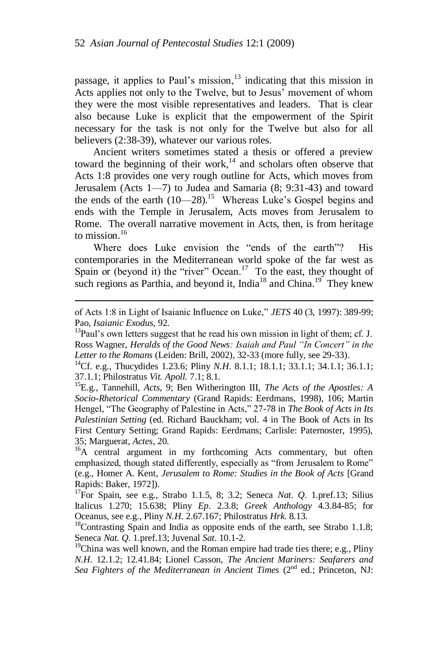passage, it applies to Paul's mission, $13$  indicating that this mission in Acts applies not only to the Twelve, but to Jesus' movement of whom they were the most visible representatives and leaders. That is clear also because Luke is explicit that the empowerment of the Spirit necessary for the task is not only for the Twelve but also for all believers (2:38-39), whatever our various roles.

Ancient writers sometimes stated a thesis or offered a preview toward the beginning of their work, $14$  and scholars often observe that Acts 1:8 provides one very rough outline for Acts, which moves from Jerusalem (Acts 1—7) to Judea and Samaria (8; 9:31-43) and toward the ends of the earth  $(10-28)$ .<sup>15</sup> Whereas Luke's Gospel begins and ends with the Temple in Jerusalem, Acts moves from Jerusalem to Rome. The overall narrative movement in Acts, then, is from heritage to mission. $16$ 

Where does Luke envision the "ends of the earth"? His contemporaries in the Mediterranean world spoke of the far west as Spain or (beyond it) the "river" Ocean.<sup>17</sup> To the east, they thought of such regions as Parthia, and beyond it, India<sup>18</sup> and China.<sup>19</sup> They knew

of Acts 1:8 in Light of Isaianic Influence on Luke," *JETS* 40 (3, 1997): 389-99; Pao, *Isaianic Exodus*, 92.

 $13$ Paul's own letters suggest that he read his own mission in light of them; cf. J. Ross Wagner, *Heralds of the Good News: Isaiah and Paul "In Concert" in the Letter to the Romans* (Leiden: Brill, 2002), 32-33 (more fully, see 29-33).

<sup>&</sup>lt;sup>14</sup>Cf. e.g., Thucydides 1.23.6; Pliny *N.H.* 8.1.1; 18.1.1; 33.1.1; 34.1.1; 36.1.1; 37.1.1; Philostratus *Vit. Apoll.* 7.1; 8.1.

<sup>15</sup>E.g., Tannehill, *Acts*, 9; Ben Witherington III, *The Acts of the Apostles: A Socio-Rhetorical Commentary* (Grand Rapids: Eerdmans, 1998), 106; Martin Hengel, "The Geography of Palestine in Acts," 27-78 in *The Book of Acts in Its Palestinian Setting* (ed. Richard Bauckham; vol. 4 in The Book of Acts in Its First Century Setting; Grand Rapids: Eerdmans; Carlisle: Paternoster, 1995), 35; Marguerat, *Actes*, 20.

 $^{16}A$  central argument in my forthcoming Acts commentary, but often emphasized, though stated differently, especially as "from Jerusalem to Rome" (e.g., Homer A. Kent, *Jerusalem to Rome: Studies in the Book of Acts* [Grand Rapids: Baker, 1972]).

<sup>17</sup>For Spain, see e.g., Strabo 1.1.5, 8; 3.2; Seneca *Nat. Q*. 1.pref.13; Silius Italicus 1.270; 15.638; Pliny *Ep*. 2.3.8; *Greek Anthology* 4.3.84-85; for Oceanus, see e.g., Pliny *N.H*. 2.67.167; Philostratus *Hrk*. 8.13.

 $18$ Contrasting Spain and India as opposite ends of the earth, see Strabo 1.1.8; Seneca *Nat. Q*. 1.pref.13; Juvenal *Sat*. 10.1-2.

<sup>&</sup>lt;sup>19</sup>China was well known, and the Roman empire had trade ties there; e.g., Pliny *N.H*. 12.1.2; 12.41.84; Lionel Casson, *The Ancient Mariners: Seafarers and Sea Fighters of the Mediterranean in Ancient Times* (2<sup>nd</sup> ed.; Princeton, NJ: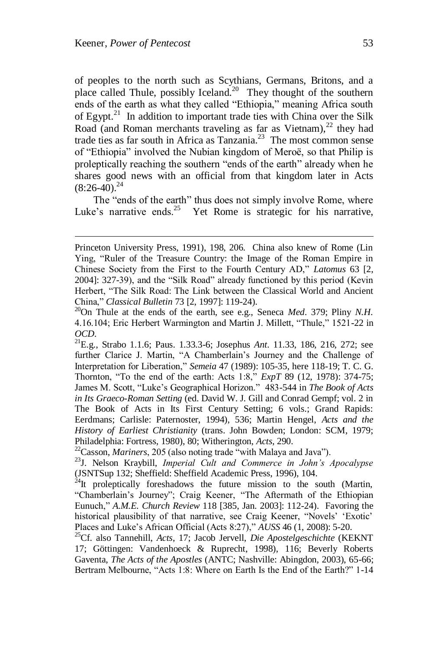of peoples to the north such as Scythians, Germans, Britons, and a place called Thule, possibly Iceland.<sup>20</sup> They thought of the southern ends of the earth as what they called "Ethiopia," meaning Africa south of Egypt. $21$  In addition to important trade ties with China over the Silk Road (and Roman merchants traveling as far as Vietnam), $^{22}$  they had trade ties as far south in Africa as Tanzania.<sup>23</sup> The most common sense of "Ethiopia" involved the Nubian kingdom of Meroë, so that Philip is proleptically reaching the southern "ends of the earth" already when he shares good news with an official from that kingdom later in Acts  $(8:26-40).^{24}$ 

The "ends of the earth" thus does not simply involve Rome, where Luke's narrative ends.<sup>25</sup> Yet Rome is strategic for his narrative,

Princeton University Press, 1991), 198, 206. China also knew of Rome (Lin Ying, "Ruler of the Treasure Country: the Image of the Roman Empire in Chinese Society from the First to the Fourth Century AD," *Latomus* 63 [2, 2004]: 327-39), and the "Silk Road" already functioned by this period (Kevin Herbert, "The Silk Road: The Link between the Classical World and Ancient China," *Classical Bulletin* 73 [2, 1997]: 119-24).

<sup>20</sup>On Thule at the ends of the earth, see e.g., Seneca *Med*. 379; Pliny *N.H*. 4.16.104; Eric Herbert Warmington and Martin J. Millett, "Thule," 1521-22 in *OCD*.

<sup>21</sup>E.g., Strabo 1.1.6; Paus. 1.33.3-6; Josephus *Ant*. 11.33, 186, 216, 272; see further Clarice J. Martin, "A Chamberlain's Journey and the Challenge of Interpretation for Liberation," *Semeia* 47 (1989): 105-35, here 118-19; T. C. G. Thornton, "To the end of the earth: Acts 1:8," *ExpT* 89 (12, 1978): 374-75; James M. Scott, "Luke"s Geographical Horizon." 483-544 in *The Book of Acts in Its Graeco-Roman Setting* (ed. David W. J. Gill and Conrad Gempf; vol. 2 in The Book of Acts in Its First Century Setting; 6 vols.; Grand Rapids: Eerdmans; Carlisle: Paternoster, 1994), 536; Martin Hengel, *Acts and the History of Earliest Christianity* (trans. John Bowden; London: SCM, 1979; Philadelphia: Fortress, 1980), 80; Witherington, *Acts*, 290.

<sup>22</sup>Casson, *Mariners*, 205 (also noting trade "with Malaya and Java").

<sup>23</sup>J. Nelson Kraybill, *Imperial Cult and Commerce in John"s Apocalypse* (JSNTSup 132; Sheffield: Sheffield Academic Press, 1996), 104.

 $^{24}$ It proleptically foreshadows the future mission to the south (Martin, "Chamberlain"s Journey"; Craig Keener, "The Aftermath of the Ethiopian Eunuch," *A.M.E. Church Review* 118 [385, Jan. 2003]: 112-24). Favoring the historical plausibility of that narrative, see Craig Keener, "Novels' 'Exotic' Places and Luke"s African Official (Acts 8:27)," *AUSS* 46 (1, 2008): 5-20.

<sup>25</sup>Cf. also Tannehill, *Acts*, 17; Jacob Jervell, *Die Apostelgeschichte* (KEKNT 17; Göttingen: Vandenhoeck & Ruprecht, 1998), 116; Beverly Roberts Gaventa, *The Acts of the Apostles* (ANTC; Nashville: Abingdon, 2003), 65-66; Bertram Melbourne, "Acts 1:8: Where on Earth Is the End of the Earth?" 1-14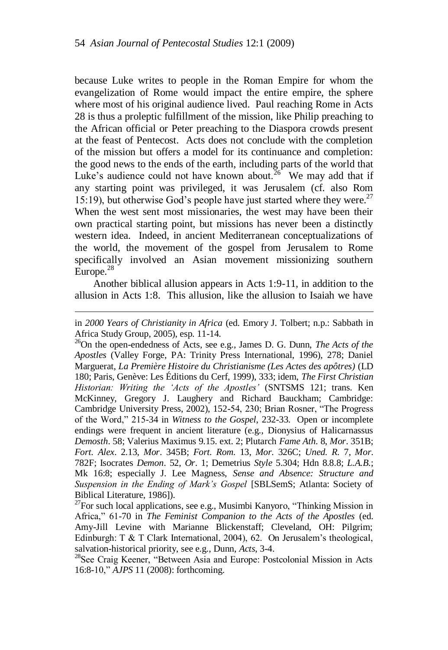because Luke writes to people in the Roman Empire for whom the evangelization of Rome would impact the entire empire, the sphere where most of his original audience lived. Paul reaching Rome in Acts 28 is thus a proleptic fulfillment of the mission, like Philip preaching to the African official or Peter preaching to the Diaspora crowds present at the feast of Pentecost. Acts does not conclude with the completion of the mission but offers a model for its continuance and completion: the good news to the ends of the earth, including parts of the world that Luke's audience could not have known about.<sup>26</sup> We may add that if any starting point was privileged, it was Jerusalem (cf. also Rom 15:19), but otherwise God's people have just started where they were.<sup>27</sup> When the west sent most missionaries, the west may have been their own practical starting point, but missions has never been a distinctly western idea. Indeed, in ancient Mediterranean conceptualizations of the world, the movement of the gospel from Jerusalem to Rome specifically involved an Asian movement missionizing southern Europe.<sup>28</sup>

Another biblical allusion appears in Acts 1:9-11, in addition to the allusion in Acts 1:8. This allusion, like the allusion to Isaiah we have

l

in *2000 Years of Christianity in Africa* (ed. Emory J. Tolbert; n.p.: Sabbath in Africa Study Group, 2005), esp. 11-14.

<sup>26</sup>On the open-endedness of Acts, see e.g., James D. G. Dunn, *The Acts of the Apostles* (Valley Forge, PA: Trinity Press International, 1996), 278; Daniel Marguerat, *La Première Histoire du Christianisme (Les Actes des apôtres)* (LD 180; Paris, Genève: Les Éditions du Cerf, 1999), 333; idem, *The First Christian Historian: Writing the "Acts of the Apostles"* (SNTSMS 121; trans. Ken McKinney, Gregory J. Laughery and Richard Bauckham; Cambridge: Cambridge University Press, 2002), 152-54, 230; Brian Rosner, "The Progress of the Word," 215-34 in *Witness to the Gospel*, 232-33. Open or incomplete endings were frequent in ancient literature (e.g., Dionysius of Halicarnassus *Demosth*. 58; Valerius Maximus 9.15. ext. 2; Plutarch *Fame Ath*. 8, *Mor*. 351B; *Fort. Alex*. 2.13, *Mor*. 345B; *Fort. Rom*. 13, *Mor*. 326C; *Uned. R.* 7, *Mor*. 782F; Isocrates *Demon*. 52, *Or*. 1; Demetrius *Style* 5.304; Hdn 8.8.8; *L.A.B*.; Mk 16:8; especially J. Lee Magness, *Sense and Absence: Structure and Suspension in the Ending of Mark"s Gospel* [SBLSemS; Atlanta: Society of Biblical Literature, 1986]).

 $^{27}$ For such local applications, see e.g., Musimbi Kanyoro, "Thinking Mission in Africa," 61-70 in *The Feminist Companion to the Acts of the Apostles* (ed. Amy-Jill Levine with Marianne Blickenstaff; Cleveland, OH: Pilgrim; Edinburgh: T & T Clark International, 2004), 62. On Jerusalem"s theological, salvation-historical priority, see e.g., Dunn, *Acts*, 3-4.

<sup>&</sup>lt;sup>28</sup>See Craig Keener, "Between Asia and Europe: Postcolonial Mission in Acts 16:8-10," *AJPS* 11 (2008): forthcoming.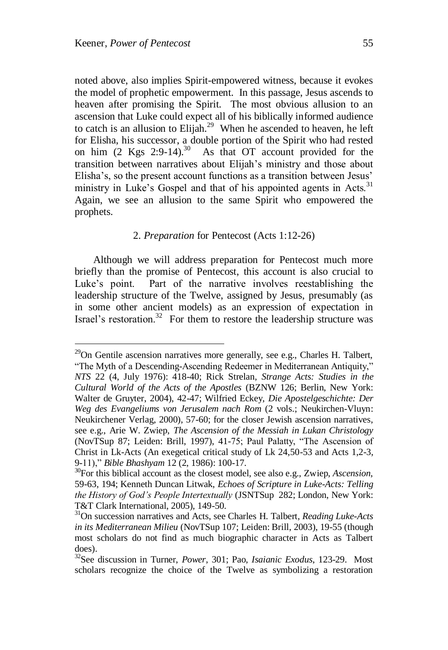noted above, also implies Spirit-empowered witness, because it evokes the model of prophetic empowerment. In this passage, Jesus ascends to heaven after promising the Spirit. The most obvious allusion to an ascension that Luke could expect all of his biblically informed audience to catch is an allusion to Elijah.<sup>29</sup> When he ascended to heaven, he left for Elisha, his successor, a double portion of the Spirit who had rested on him  $(2 \text{Kgs } 2.9-14).^{30}$  As that OT account provided for the transition between narratives about Elijah"s ministry and those about Elisha's, so the present account functions as a transition between Jesus' ministry in Luke's Gospel and that of his appointed agents in Acts.<sup>31</sup> Again, we see an allusion to the same Spirit who empowered the prophets.

#### 2. *Preparation* for Pentecost (Acts 1:12-26)

Although we will address preparation for Pentecost much more briefly than the promise of Pentecost, this account is also crucial to Luke"s point. Part of the narrative involves reestablishing the leadership structure of the Twelve, assigned by Jesus, presumably (as in some other ancient models) as an expression of expectation in Israel's restoration.<sup>32</sup> For them to restore the leadership structure was

 $29$ On Gentile ascension narratives more generally, see e.g., Charles H. Talbert, "The Myth of a Descending-Ascending Redeemer in Mediterranean Antiquity," *NTS* 22 (4, July 1976): 418-40; Rick Strelan, *Strange Acts: Studies in the Cultural World of the Acts of the Apostles* (BZNW 126; Berlin, New York: Walter de Gruyter, 2004), 42-47; Wilfried Eckey, *Die Apostelgeschichte: Der Weg des Evangeliums von Jerusalem nach Rom* (2 vols.; Neukirchen-Vluyn: Neukirchener Verlag, 2000), 57-60; for the closer Jewish ascension narratives, see e.g., Arie W. Zwiep, *The Ascension of the Messiah in Lukan Christology* (NovTSup 87; Leiden: Brill, 1997), 41-75; Paul Palatty, "The Ascension of Christ in Lk-Acts (An exegetical critical study of Lk 24,50-53 and Acts 1,2-3, 9-11)," *Bible Bhashyam* 12 (2, 1986): 100-17.

<sup>30</sup>For this biblical account as the closest model, see also e.g., Zwiep, *Ascension*, 59-63, 194; Kenneth Duncan Litwak, *Echoes of Scripture in Luke-Acts: Telling the History of God"s People Intertextually* (JSNTSup 282; London, New York: T&T Clark International, 2005), 149-50.

<sup>31</sup>On succession narratives and Acts, see Charles H. Talbert, *Reading Luke-Acts in its Mediterranean Milieu* (NovTSup 107; Leiden: Brill, 2003), 19-55 (though most scholars do not find as much biographic character in Acts as Talbert does).

<sup>32</sup>See discussion in Turner, *Power*, 301; Pao, *Isaianic Exodus*, 123-29. Most scholars recognize the choice of the Twelve as symbolizing a restoration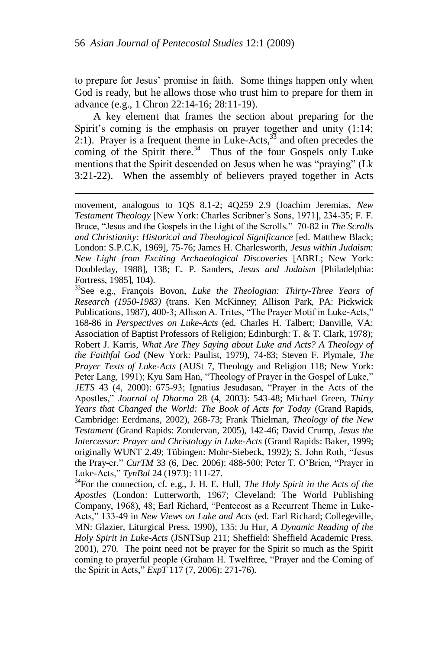to prepare for Jesus" promise in faith. Some things happen only when God is ready, but he allows those who trust him to prepare for them in advance (e.g., 1 Chron 22:14-16; 28:11-19).

A key element that frames the section about preparing for the Spirit's coming is the emphasis on prayer together and unity  $(1:14;$ 2:1). Prayer is a frequent theme in Luke-Acts,  $33$  and often precedes the coming of the Spirit there. $34$  Thus of the four Gospels only Luke mentions that the Spirit descended on Jesus when he was "praying" (Lk 3:21-22). When the assembly of believers prayed together in Acts

movement, analogous to 1QS 8.1-2; 4Q259 2.9 (Joachim Jeremias, *New Testament Theology* [New York: Charles Scribner"s Sons, 1971], 234-35; F. F. Bruce, "Jesus and the Gospels in the Light of the Scrolls." 70-82 in *The Scrolls and Christianity: Historical and Theological Significance* [ed. Matthew Black; London: S.P.C.K, 1969], 75-76; James H. Charlesworth, *Jesus within Judaism: New Light from Exciting Archaeological Discoveries* [ABRL; New York: Doubleday, 1988], 138; E. P. Sanders, *Jesus and Judaism* [Philadelphia: Fortress, 1985], 104).

<sup>33</sup>See e.g., François Bovon, *Luke the Theologian: Thirty-Three Years of Research (1950-1983)* (trans. Ken McKinney; Allison Park, PA: Pickwick Publications, 1987), 400-3; Allison A. Trites, "The Prayer Motif in Luke-Acts," 168-86 in *Perspectives on Luke-Acts* (ed. Charles H. Talbert; Danville, VA: Association of Baptist Professors of Religion; Edinburgh: T. & T. Clark, 1978); Robert J. Karris, *What Are They Saying about Luke and Acts? A Theology of the Faithful God* (New York: Paulist, 1979), 74-83; Steven F. Plymale, *The Prayer Texts of Luke-Acts* (AUSt 7, Theology and Religion 118; New York: Peter Lang, 1991); Kyu Sam Han, "Theology of Prayer in the Gospel of Luke," *JETS* 43 (4, 2000): 675-93; Ignatius Jesudasan, "Prayer in the Acts of the Apostles," *Journal of Dharma* 28 (4, 2003): 543-48; Michael Green, *Thirty Years that Changed the World: The Book of Acts for Today* (Grand Rapids, Cambridge: Eerdmans, 2002), 268-73; Frank Thielman, *Theology of the New Testament* (Grand Rapids: Zondervan, 2005), 142-46; David Crump, *Jesus the Intercessor: Prayer and Christology in Luke-Acts* (Grand Rapids: Baker, 1999; originally WUNT 2.49; Tübingen: Mohr-Siebeck, 1992); S. John Roth, "Jesus the Pray-er," *CurTM* 33 (6, Dec. 2006): 488-500; Peter T. O"Brien, "Prayer in Luke-Acts," *TynBul* 24 (1973): 111-27.

<sup>34</sup>For the connection, cf. e.g., J. H. E. Hull, *The Holy Spirit in the Acts of the Apostles* (London: Lutterworth, 1967; Cleveland: The World Publishing Company, 1968), 48; Earl Richard, "Pentecost as a Recurrent Theme in Luke-Acts," 133-49 in *New Views on Luke and Acts* (ed. Earl Richard; Collegeville, MN: Glazier, Liturgical Press, 1990), 135; Ju Hur, *A Dynamic Reading of the Holy Spirit in Luke-Acts* (JSNTSup 211; Sheffield: Sheffield Academic Press, 2001), 270. The point need not be prayer for the Spirit so much as the Spirit coming to prayerful people (Graham H. Twelftree, "Prayer and the Coming of the Spirit in Acts," *ExpT* 117 (7, 2006): 271-76).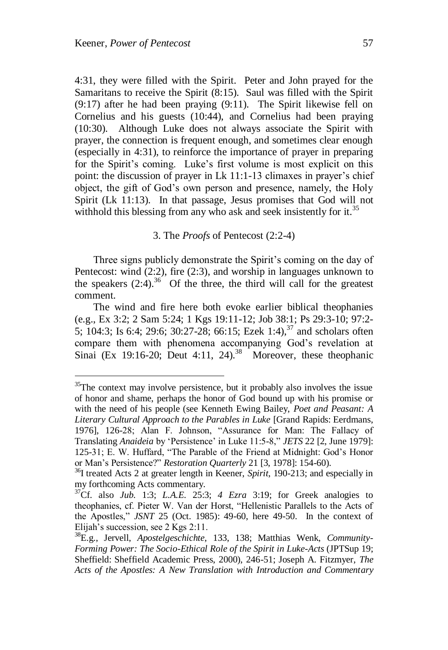4:31, they were filled with the Spirit. Peter and John prayed for the Samaritans to receive the Spirit  $(8:15)$ . Saul was filled with the Spirit (9:17) after he had been praying (9:11). The Spirit likewise fell on Cornelius and his guests (10:44), and Cornelius had been praying (10:30). Although Luke does not always associate the Spirit with prayer, the connection is frequent enough, and sometimes clear enough (especially in 4:31), to reinforce the importance of prayer in preparing for the Spirit's coming. Luke's first volume is most explicit on this point: the discussion of prayer in Lk 11:1-13 climaxes in prayer"s chief object, the gift of God"s own person and presence, namely, the Holy Spirit (Lk 11:13). In that passage, Jesus promises that God will not withhold this blessing from any who ask and seek insistently for it.<sup>35</sup>

#### 3. The *Proofs* of Pentecost (2:2-4)

Three signs publicly demonstrate the Spirit's coming on the day of Pentecost: wind (2:2), fire (2:3), and worship in languages unknown to the speakers  $(2.4)$ .<sup>36</sup> Of the three, the third will call for the greatest comment.

The wind and fire here both evoke earlier biblical theophanies (e.g., Ex 3:2; 2 Sam 5:24; 1 Kgs 19:11-12; Job 38:1; Ps 29:3-10; 97:2- 5; 104:3; Is 6:4; 29:6; 30:27-28; 66:15; Ezek 1:4),  $37$  and scholars often compare them with phenomena accompanying God"s revelation at Sinai (Ex 19:16-20; Deut 4:11, 24).<sup>38</sup> Moreover, these theophanic

 $35$ The context may involve persistence, but it probably also involves the issue of honor and shame, perhaps the honor of God bound up with his promise or with the need of his people (see Kenneth Ewing Bailey, *Poet and Peasant: A Literary Cultural Approach to the Parables in Luke* [Grand Rapids: Eerdmans, 1976], 126-28; Alan F. Johnson, "Assurance for Man: The Fallacy of Translating *Anaideia* by "Persistence" in Luke 11:5-8," *JETS* 22 [2, June 1979]: 125-31; E. W. Huffard, "The Parable of the Friend at Midnight: God"s Honor or Man"s Persistence?" *Restoration Quarterly* 21 [3, 1978]: 154-60).

<sup>36</sup>I treated Acts 2 at greater length in Keener, *Spirit*, 190-213; and especially in my forthcoming Acts commentary.

<sup>37</sup>Cf. also *Jub*. 1:3; *L.A.E*. 25:3; *4 Ezra* 3:19; for Greek analogies to theophanies, cf. Pieter W. Van der Horst, "Hellenistic Parallels to the Acts of the Apostles," *JSNT* 25 (Oct. 1985): 49-60, here 49-50. In the context of Elijah"s succession, see 2 Kgs 2:11.

<sup>38</sup>E.g., Jervell, *Apostelgeschichte*, 133, 138; Matthias Wenk, *Community-Forming Power: The Socio-Ethical Role of the Spirit in Luke-Acts* (JPTSup 19; Sheffield: Sheffield Academic Press, 2000), 246-51; Joseph A. Fitzmyer, *The Acts of the Apostles: A New Translation with Introduction and Commentary*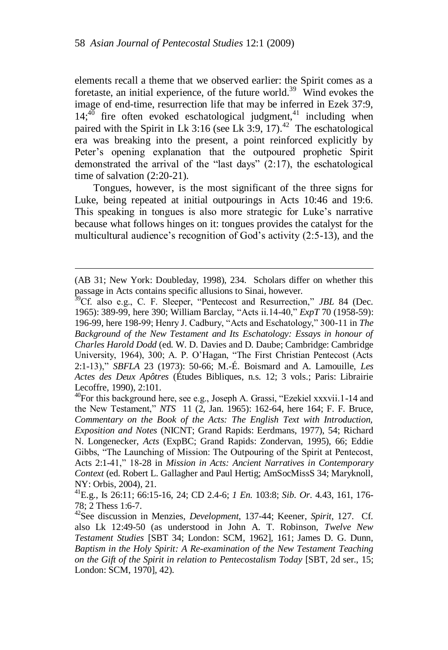elements recall a theme that we observed earlier: the Spirit comes as a foretaste, an initial experience, of the future world.<sup>39</sup> Wind evokes the image of end-time, resurrection life that may be inferred in Ezek 37:9,  $14;^{40}$  fire often evoked eschatological judgment,<sup>41</sup> including when paired with the Spirit in Lk 3:16 (see Lk 3:9, 17).<sup>42</sup> The eschatological era was breaking into the present, a point reinforced explicitly by Peter's opening explanation that the outpoured prophetic Spirit demonstrated the arrival of the "last days" (2:17), the eschatological time of salvation (2:20-21).

Tongues, however, is the most significant of the three signs for Luke, being repeated at initial outpourings in Acts 10:46 and 19:6. This speaking in tongues is also more strategic for Luke's narrative because what follows hinges on it: tongues provides the catalyst for the multicultural audience's recognition of God's activity (2:5-13), and the

<sup>(</sup>AB 31; New York: Doubleday, 1998), 234. Scholars differ on whether this passage in Acts contains specific allusions to Sinai, however.

<sup>39</sup>Cf. also e.g., C. F. Sleeper, "Pentecost and Resurrection," *JBL* 84 (Dec. 1965): 389-99, here 390; William Barclay, "Acts ii.14-40," *ExpT* 70 (1958-59): 196-99, here 198-99; Henry J. Cadbury, "Acts and Eschatology," 300-11 in *The Background of the New Testament and Its Eschatology: Essays in honour of Charles Harold Dodd* (ed. W. D. Davies and D. Daube; Cambridge: Cambridge University, 1964), 300; A. P. O"Hagan, "The First Christian Pentecost (Acts 2:1-13)," *SBFLA* 23 (1973): 50-66; M.-É. Boismard and A. Lamouille, *Les Actes des Deux Apôtres* (Études Bibliques, n.s. 12; 3 vols.; Paris: Librairie Lecoffre, 1990), 2:101.

 $^{40}$ For this background here, see e.g., Joseph A. Grassi, "Ezekiel xxxvii.1-14 and the New Testament," *NTS* 11 (2, Jan. 1965): 162-64, here 164; F. F. Bruce, *Commentary on the Book of the Acts: The English Text with Introduction, Exposition and Notes* (NICNT; Grand Rapids: Eerdmans, 1977), 54; Richard N. Longenecker, *Acts* (ExpBC; Grand Rapids: Zondervan, 1995), 66; Eddie Gibbs, "The Launching of Mission: The Outpouring of the Spirit at Pentecost, Acts 2:1-41," 18-28 in *Mission in Acts: Ancient Narratives in Contemporary Context* (ed. Robert L. Gallagher and Paul Hertig; AmSocMissS 34; Maryknoll, NY: Orbis, 2004), 21.

<sup>41</sup>E.g., Is 26:11; 66:15-16, 24; CD 2.4-6; *1 En*. 103:8; *Sib. Or*. 4.43, 161, 176- 78; 2 Thess 1:6-7.

<sup>42</sup>See discussion in Menzies, *Development*, 137-44; Keener, *Spirit*, 127. Cf. also Lk 12:49-50 (as understood in John A. T. Robinson, *Twelve New Testament Studies* [SBT 34; London: SCM, 1962], 161; James D. G. Dunn, *Baptism in the Holy Spirit: A Re-examination of the New Testament Teaching on the Gift of the Spirit in relation to Pentecostalism Today* [SBT, 2d ser., 15; London: SCM, 1970], 42).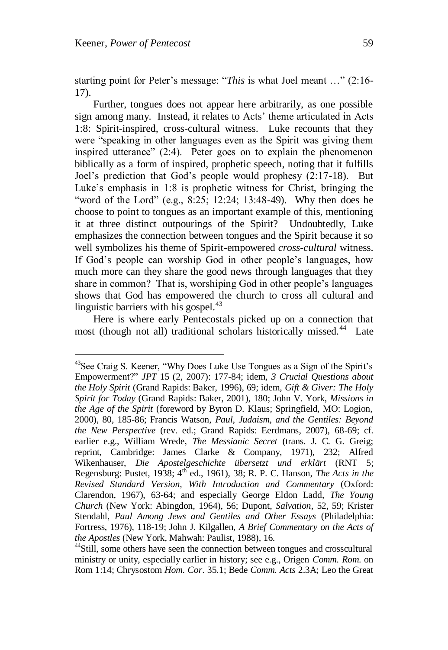starting point for Peter's message: "This is what Joel meant ..." (2:16-17).

Further, tongues does not appear here arbitrarily, as one possible sign among many. Instead, it relates to Acts' theme articulated in Acts 1:8: Spirit-inspired, cross-cultural witness. Luke recounts that they were "speaking in other languages even as the Spirit was giving them inspired utterance" (2:4). Peter goes on to explain the phenomenon biblically as a form of inspired, prophetic speech, noting that it fulfills Joel"s prediction that God"s people would prophesy (2:17-18). But Luke"s emphasis in 1:8 is prophetic witness for Christ, bringing the "word of the Lord" (e.g., 8:25; 12:24; 13:48-49). Why then does he choose to point to tongues as an important example of this, mentioning it at three distinct outpourings of the Spirit? Undoubtedly, Luke emphasizes the connection between tongues and the Spirit because it so well symbolizes his theme of Spirit-empowered *cross-cultural* witness. If God"s people can worship God in other people"s languages, how much more can they share the good news through languages that they share in common? That is, worshiping God in other people's languages shows that God has empowered the church to cross all cultural and linguistic barriers with his gospel.<sup>43</sup>

Here is where early Pentecostals picked up on a connection that most (though not all) traditional scholars historically missed.<sup>44</sup> Late

<sup>&</sup>lt;sup>43</sup>See Craig S. Keener, "Why Does Luke Use Tongues as a Sign of the Spirit's Empowerment?" *JPT* 15 (2, 2007): 177-84; idem, *3 Crucial Questions about the Holy Spirit* (Grand Rapids: Baker, 1996), 69; idem, *Gift & Giver: The Holy Spirit for Today* (Grand Rapids: Baker, 2001), 180; John V. York, *Missions in the Age of the Spirit* (foreword by Byron D. Klaus; Springfield, MO: Logion, 2000), 80, 185-86; Francis Watson, *Paul, Judaism, and the Gentiles: Beyond the New Perspective* (rev. ed.; Grand Rapids: Eerdmans, 2007), 68-69; cf. earlier e.g., William Wrede, *The Messianic Secret* (trans. J. C. G. Greig; reprint, Cambridge: James Clarke & Company, 1971), 232; Alfred Wikenhauser, *Die Apostelgeschichte übersetzt und erklärt* (RNT 5; Regensburg: Pustet, 1938;  $4<sup>th</sup>$  ed., 1961), 38; R. P. C. Hanson, *The Acts in the Revised Standard Version, With Introduction and Commentary* (Oxford: Clarendon, 1967), 63-64; and especially George Eldon Ladd, *The Young Church* (New York: Abingdon, 1964), 56; Dupont, *Salvation*, 52, 59; Krister Stendahl, *Paul Among Jews and Gentiles and Other Essays* (Philadelphia: Fortress, 1976), 118-19; John J. Kilgallen, *A Brief Commentary on the Acts of the Apostles* (New York, Mahwah: Paulist, 1988), 16.

<sup>&</sup>lt;sup>44</sup>Still, some others have seen the connection between tongues and crosscultural ministry or unity, especially earlier in history; see e.g., Origen *Comm. Rom*. on Rom 1:14; Chrysostom *Hom. Cor*. 35.1; Bede *Comm. Acts* 2.3A; Leo the Great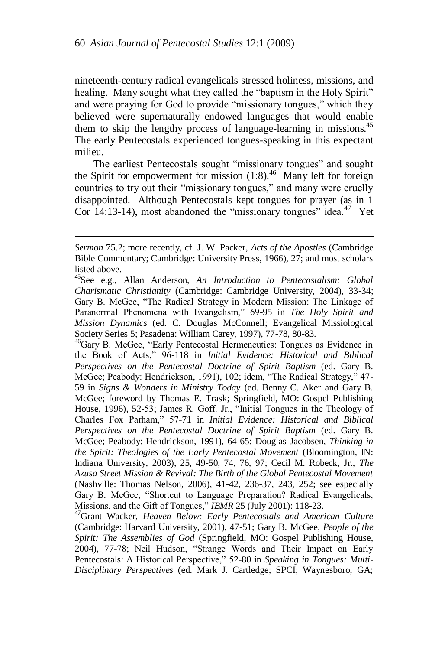nineteenth-century radical evangelicals stressed holiness, missions, and healing. Many sought what they called the "baptism in the Holy Spirit" and were praying for God to provide "missionary tongues," which they believed were supernaturally endowed languages that would enable them to skip the lengthy process of language-learning in missions.<sup>45</sup> The early Pentecostals experienced tongues-speaking in this expectant milieu.

The earliest Pentecostals sought "missionary tongues" and sought the Spirit for empowerment for mission  $(1.8)$ .<sup>46</sup> Many left for foreign countries to try out their "missionary tongues," and many were cruelly disappointed. Although Pentecostals kept tongues for prayer (as in 1 Cor 14:13-14), most abandoned the "missionary tongues" idea.<sup>47</sup> Yet

*Sermon* 75.2; more recently, cf. J. W. Packer, *Acts of the Apostles* (Cambridge Bible Commentary; Cambridge: University Press, 1966), 27; and most scholars listed above.

<sup>45</sup>See e.g., Allan Anderson, *An Introduction to Pentecostalism: Global Charismatic Christianity* (Cambridge: Cambridge University, 2004), 33-34; Gary B. McGee, "The Radical Strategy in Modern Mission: The Linkage of Paranormal Phenomena with Evangelism," 69-95 in *The Holy Spirit and Mission Dynamics* (ed. C. Douglas McConnell; Evangelical Missiological Society Series 5; Pasadena: William Carey, 1997), 77-78, 80-83.

<sup>&</sup>lt;sup>46</sup>Gary B. McGee, "Early Pentecostal Hermeneutics: Tongues as Evidence in the Book of Acts," 96-118 in *Initial Evidence: Historical and Biblical Perspectives on the Pentecostal Doctrine of Spirit Baptism* (ed. Gary B. McGee; Peabody: Hendrickson, 1991), 102; idem, "The Radical Strategy," 47- 59 in *Signs & Wonders in Ministry Today* (ed. Benny C. Aker and Gary B. McGee; foreword by Thomas E. Trask; Springfield, MO: Gospel Publishing House, 1996), 52-53; James R. Goff. Jr., "Initial Tongues in the Theology of Charles Fox Parham," 57-71 in *Initial Evidence: Historical and Biblical Perspectives on the Pentecostal Doctrine of Spirit Baptism* (ed. Gary B. McGee; Peabody: Hendrickson, 1991), 64-65; Douglas Jacobsen, *Thinking in the Spirit: Theologies of the Early Pentecostal Movement* (Bloomington, IN: Indiana University, 2003), 25, 49-50, 74, 76, 97; Cecil M. Robeck, Jr., *The Azusa Street Mission & Revival: The Birth of the Global Pentecostal Movement* (Nashville: Thomas Nelson, 2006), 41-42, 236-37, 243, 252; see especially Gary B. McGee, "Shortcut to Language Preparation? Radical Evangelicals, Missions, and the Gift of Tongues," *IBMR* 25 (July 2001): 118-23.

<sup>47</sup>Grant Wacker, *Heaven Below: Early Pentecostals and American Culture* (Cambridge: Harvard University, 2001), 47-51; Gary B. McGee, *People of the Spirit: The Assemblies of God* (Springfield, MO: Gospel Publishing House, 2004), 77-78; Neil Hudson, "Strange Words and Their Impact on Early Pentecostals: A Historical Perspective," 52-80 in *Speaking in Tongues: Multi-Disciplinary Perspectives* (ed. Mark J. Cartledge; SPCI; Waynesboro, GA;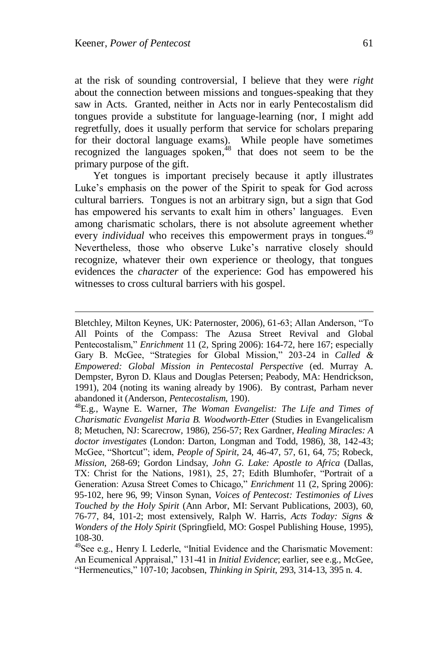l

at the risk of sounding controversial, I believe that they were *right* about the connection between missions and tongues-speaking that they saw in Acts. Granted, neither in Acts nor in early Pentecostalism did tongues provide a substitute for language-learning (nor, I might add regretfully, does it usually perform that service for scholars preparing for their doctoral language exams). While people have sometimes recognized the languages spoken,<sup>48</sup> that does not seem to be the primary purpose of the gift.

Yet tongues is important precisely because it aptly illustrates Luke"s emphasis on the power of the Spirit to speak for God across cultural barriers. Tongues is not an arbitrary sign, but a sign that God has empowered his servants to exalt him in others' languages. Even among charismatic scholars, there is not absolute agreement whether every *individual* who receives this empowerment prays in tongues.<sup>49</sup> Nevertheless, those who observe Luke's narrative closely should recognize, whatever their own experience or theology, that tongues evidences the *character* of the experience: God has empowered his witnesses to cross cultural barriers with his gospel.

Bletchley, Milton Keynes, UK: Paternoster, 2006), 61-63; Allan Anderson, "To All Points of the Compass: The Azusa Street Revival and Global Pentecostalism," *Enrichment* 11 (2, Spring 2006): 164-72, here 167; especially Gary B. McGee, "Strategies for Global Mission," 203-24 in *Called & Empowered: Global Mission in Pentecostal Perspective* (ed. Murray A. Dempster, Byron D. Klaus and Douglas Petersen; Peabody, MA: Hendrickson, 1991), 204 (noting its waning already by 1906). By contrast, Parham never abandoned it (Anderson, *Pentecostalism*, 190).

<sup>48</sup>E.g., Wayne E. Warner, *The Woman Evangelist: The Life and Times of Charismatic Evangelist Maria B. Woodworth-Etter* (Studies in Evangelicalism 8; Metuchen, NJ: Scarecrow, 1986), 256-57; Rex Gardner, *Healing Miracles: A doctor investigates* (London: Darton, Longman and Todd, 1986), 38, 142-43; McGee, "Shortcut"; idem, *People of Spirit*, 24, 46-47, 57, 61, 64, 75; Robeck, *Mission*, 268-69; Gordon Lindsay, *John G. Lake: Apostle to Africa* (Dallas, TX: Christ for the Nations, 1981), 25, 27; Edith Blumhofer, "Portrait of a Generation: Azusa Street Comes to Chicago," *Enrichment* 11 (2, Spring 2006): 95-102, here 96, 99; Vinson Synan, *Voices of Pentecost: Testimonies of Lives Touched by the Holy Spirit* (Ann Arbor, MI: Servant Publications, 2003), 60, 76-77, 84, 101-2; most extensively, Ralph W. Harris, *Acts Today: Signs & Wonders of the Holy Spirit* (Springfield, MO: Gospel Publishing House, 1995), 108-30.

<sup>49</sup>See e.g., Henry I. Lederle, "Initial Evidence and the Charismatic Movement: An Ecumenical Appraisal," 131-41 in *Initial Evidence*; earlier, see e.g., McGee, "Hermeneutics," 107-10; Jacobsen, *Thinking in Spirit*, 293, 314-13, 395 n. 4.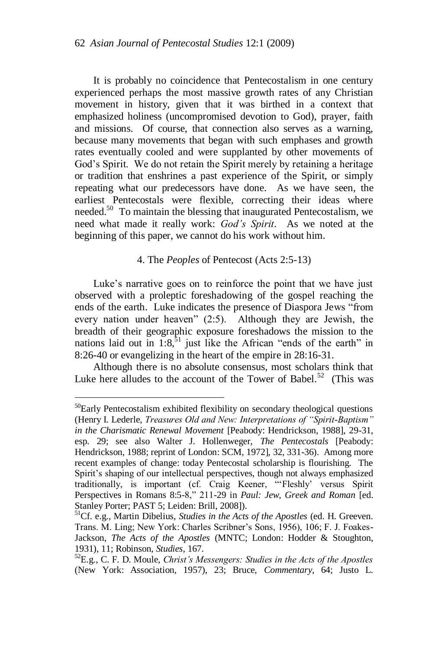It is probably no coincidence that Pentecostalism in one century experienced perhaps the most massive growth rates of any Christian movement in history, given that it was birthed in a context that emphasized holiness (uncompromised devotion to God), prayer, faith and missions. Of course, that connection also serves as a warning, because many movements that began with such emphases and growth rates eventually cooled and were supplanted by other movements of God"s Spirit. We do not retain the Spirit merely by retaining a heritage or tradition that enshrines a past experience of the Spirit, or simply repeating what our predecessors have done. As we have seen, the earliest Pentecostals were flexible, correcting their ideas where needed.<sup>50</sup> To maintain the blessing that inaugurated Pentecostalism, we need what made it really work: *God"s Spirit*. As we noted at the beginning of this paper, we cannot do his work without him.

## 4. The *Peoples* of Pentecost (Acts 2:5-13)

Luke's narrative goes on to reinforce the point that we have just observed with a proleptic foreshadowing of the gospel reaching the ends of the earth. Luke indicates the presence of Diaspora Jews "from every nation under heaven" (2:5). Although they are Jewish, the breadth of their geographic exposure foreshadows the mission to the nations laid out in  $1:8$ <sup>51</sup> just like the African "ends of the earth" in 8:26-40 or evangelizing in the heart of the empire in 28:16-31.

Although there is no absolute consensus, most scholars think that Luke here alludes to the account of the Tower of Babel.<sup>52</sup> (This was

 $50$ Early Pentecostalism exhibited flexibility on secondary theological questions (Henry I. Lederle, *Treasures Old and New: Interpretations of "Spirit-Baptism" in the Charismatic Renewal Movement* [Peabody: Hendrickson, 1988], 29-31, esp. 29; see also Walter J. Hollenweger, *The Pentecostals* [Peabody: Hendrickson, 1988; reprint of London: SCM, 1972], 32, 331-36). Among more recent examples of change: today Pentecostal scholarship is flourishing. The Spirit's shaping of our intellectual perspectives, though not always emphasized traditionally, is important (cf. Craig Keener, ""Fleshly" versus Spirit Perspectives in Romans 8:5-8," 211-29 in *Paul: Jew, Greek and Roman* [ed. Stanley Porter; PAST 5; Leiden: Brill, 2008]).

<sup>51</sup>Cf. e.g., Martin Dibelius, *Studies in the Acts of the Apostles* (ed. H. Greeven. Trans. M. Ling; New York: Charles Scribner's Sons, 1956), 106; F. J. Foakes-Jackson, *The Acts of the Apostles* (MNTC; London: Hodder & Stoughton, 1931), 11; Robinson, *Studies*, 167.

<sup>52</sup>E.g., C. F. D. Moule, *Christ"s Messengers: Studies in the Acts of the Apostles* (New York: Association, 1957), 23; Bruce, *Commentary*, 64; Justo L.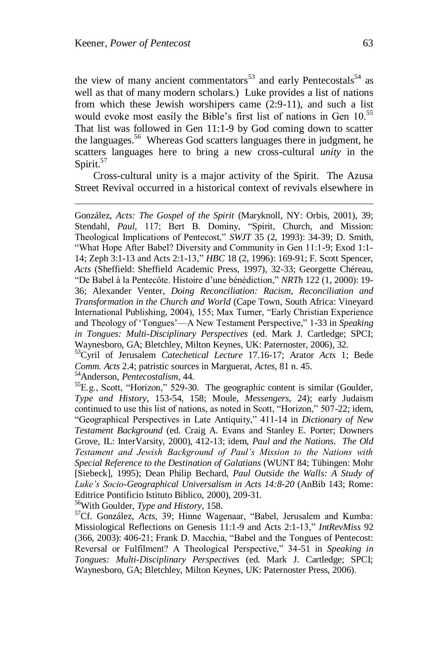the view of many ancient commentators<sup>53</sup> and early Pentecostals<sup>54</sup> as well as that of many modern scholars.) Luke provides a list of nations from which these Jewish worshipers came (2:9-11), and such a list would evoke most easily the Bible's first list of nations in Gen 10.<sup>55</sup> That list was followed in Gen 11:1-9 by God coming down to scatter the languages.<sup>56</sup> Whereas God scatters languages there in judgment, he scatters languages here to bring a new cross-cultural *unity* in the Spirit. $57$ 

Cross-cultural unity is a major activity of the Spirit. The Azusa Street Revival occurred in a historical context of revivals elsewhere in

González, *Acts: The Gospel of the Spirit* (Maryknoll, NY: Orbis, 2001), 39; Stendahl, *Paul*, 117; Bert B. Dominy, "Spirit, Church, and Mission: Theological Implications of Pentecost," *SWJT* 35 (2, 1993): 34-39; D. Smith, "What Hope After Babel? Diversity and Community in Gen 11:1-9; Exod 1:1- 14; Zeph 3:1-13 and Acts 2:1-13," *HBC* 18 (2, 1996): 169-91; F. Scott Spencer, *Acts* (Sheffield: Sheffield Academic Press, 1997), 32-33; Georgette Chéreau, "De Babel à la Pentecôte. Histoire d"une bénédiction," *NRTh* 122 (1, 2000): 19- 36; Alexander Venter, *Doing Reconciliation: Racism, Reconciliation and Transformation in the Church and World* (Cape Town, South Africa: Vineyard International Publishing, 2004), 155; Max Turner, "Early Christian Experience and Theology of "Tongues"—A New Testament Perspective," 1-33 in *Speaking in Tongues: Multi-Disciplinary Perspectives* (ed. Mark J. Cartledge; SPCI; Waynesboro, GA; Bletchley, Milton Keynes, UK: Paternoster, 2006), 32.

<sup>53</sup>Cyril of Jerusalem *Catechetical Lecture* 17.16-17; Arator *Acts* 1; Bede *Comm. Acts* 2.4; patristic sources in Marguerat, *Actes*, 81 n. 45.

<sup>54</sup>Anderson, *Pentecostalism*, 44.

 ${}^{55}E.g.,$  Scott, "Horizon," 529-30. The geographic content is similar (Goulder, *Type and History*, 153-54, 158; Moule, *Messengers*, 24); early Judaism continued to use this list of nations, as noted in Scott, "Horizon," 507-22; idem, "Geographical Perspectives in Late Antiquity," 411-14 in *Dictionary of New Testament Background* (ed. Craig A. Evans and Stanley E. Porter; Downers Grove, IL: InterVarsity, 2000), 412-13; idem, *Paul and the Nations. The Old Testament and Jewish Background of Paul"s Mission to the Nations with Special Reference to the Destination of Galatians* (WUNT 84; Tübingen: Mohr [Siebeck], 1995); Dean Philip Bechard, *Paul Outside the Walls: A Study of Luke"s Socio-Geographical Universalism in Acts 14:8-20* (AnBib 143; Rome: Editrice Pontificio Istituto Biblico, 2000), 209-31.

<sup>56</sup>With Goulder, *Type and History*, 158.

<sup>57</sup>Cf. González, *Acts*, 39; Hinne Wagenaar, "Babel, Jerusalem and Kumba: Missiological Reflections on Genesis 11:1-9 and Acts 2:1-13," *IntRevMiss* 92 (366, 2003): 406-21; Frank D. Macchia, "Babel and the Tongues of Pentecost: Reversal or Fulfilment? A Theological Perspective," 34-51 in *Speaking in Tongues: Multi-Disciplinary Perspectives* (ed. Mark J. Cartledge; SPCI; Waynesboro, GA; Bletchley, Milton Keynes, UK: Paternoster Press, 2006).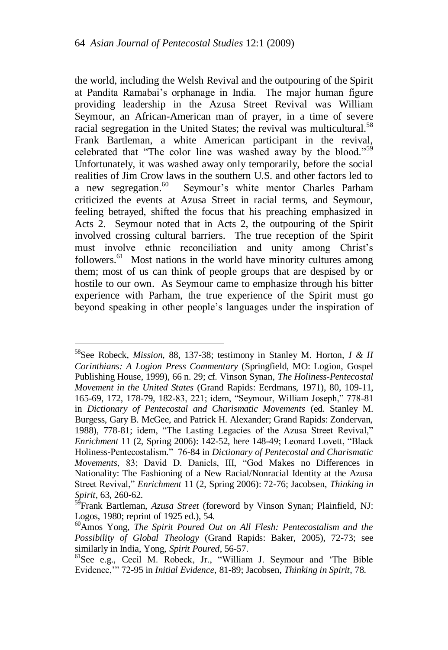the world, including the Welsh Revival and the outpouring of the Spirit at Pandita Ramabai"s orphanage in India. The major human figure providing leadership in the Azusa Street Revival was William Seymour, an African-American man of prayer, in a time of severe racial segregation in the United States; the revival was multicultural.<sup>58</sup> Frank Bartleman, a white American participant in the revival, celebrated that "The color line was washed away by the blood."<sup>59</sup> Unfortunately, it was washed away only temporarily, before the social realities of Jim Crow laws in the southern U.S. and other factors led to a new segregation.<sup>60</sup> Seymour's white mentor Charles Parham criticized the events at Azusa Street in racial terms, and Seymour, feeling betrayed, shifted the focus that his preaching emphasized in Acts 2. Seymour noted that in Acts 2, the outpouring of the Spirit involved crossing cultural barriers. The true reception of the Spirit must involve ethnic reconciliation and unity among Christ"s followers.<sup>61</sup> Most nations in the world have minority cultures among them; most of us can think of people groups that are despised by or hostile to our own. As Seymour came to emphasize through his bitter experience with Parham, the true experience of the Spirit must go beyond speaking in other people"s languages under the inspiration of

<sup>58</sup>See Robeck, *Mission*, 88, 137-38; testimony in Stanley M. Horton, *I & II Corinthians: A Logion Press Commentary* (Springfield, MO: Logion, Gospel Publishing House, 1999), 66 n. 29; cf. Vinson Synan, *The Holiness-Pentecostal Movement in the United States* (Grand Rapids: Eerdmans, 1971), 80, 109-11, 165-69, 172, 178-79, 182-83, 221; idem, "Seymour, William Joseph," 778-81 in *Dictionary of Pentecostal and Charismatic Movements* (ed. Stanley M. Burgess, Gary B. McGee, and Patrick H. Alexander; Grand Rapids: Zondervan, 1988), 778-81; idem, "The Lasting Legacies of the Azusa Street Revival," *Enrichment* 11 (2, Spring 2006): 142-52, here 148-49; Leonard Lovett, "Black Holiness-Pentecostalism." 76-84 in *Dictionary of Pentecostal and Charismatic Movements*, 83; David D. Daniels, III, "God Makes no Differences in Nationality: The Fashioning of a New Racial/Nonracial Identity at the Azusa Street Revival," *Enrichment* 11 (2, Spring 2006): 72-76; Jacobsen, *Thinking in Spirit*, 63, 260-62.

<sup>&</sup>lt;sup>59</sup>Frank Bartleman, *Azusa Street* (foreword by Vinson Synan; Plainfield, NJ: Logos, 1980; reprint of 1925 ed.), 54.

<sup>60</sup>Amos Yong, *The Spirit Poured Out on All Flesh: Pentecostalism and the Possibility of Global Theology* (Grand Rapids: Baker, 2005), 72-73; see similarly in India, Yong, *Spirit Poured*, 56-57.

<sup>61</sup>See e.g., Cecil M. Robeck, Jr., "William J. Seymour and "The Bible Evidence,"" 72-95 in *Initial Evidence*, 81-89; Jacobsen, *Thinking in Spirit*, 78.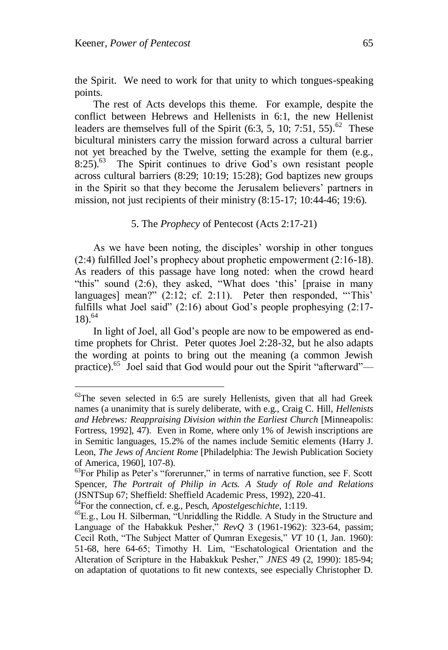the Spirit. We need to work for that unity to which tongues-speaking points.

The rest of Acts develops this theme. For example, despite the conflict between Hebrews and Hellenists in 6:1, the new Hellenist leaders are themselves full of the Spirit  $(6:3, 5, 10; 7:51, 55)$ .<sup>62</sup> These bicultural ministers carry the mission forward across a cultural barrier not yet breached by the Twelve, setting the example for them (e.g., 8:25).<sup>63</sup> The Spirit continues to drive God's own resistant people across cultural barriers (8:29; 10:19; 15:28); God baptizes new groups in the Spirit so that they become the Jerusalem believers" partners in mission, not just recipients of their ministry  $(8:15-17:10:44-46:19:6)$ .

### 5. The *Prophecy* of Pentecost (Acts 2:17-21)

As we have been noting, the disciples' worship in other tongues (2:4) fulfilled Joel"s prophecy about prophetic empowerment (2:16-18). As readers of this passage have long noted: when the crowd heard "this" sound (2:6), they asked, "What does 'this' [praise in many languages] mean?"  $(2.12; cf. 2.11)$ . Peter then responded, "This" fulfills what Joel said" (2:16) about God's people prophesying (2:17- $18)$ .<sup>64</sup>

In light of Joel, all God"s people are now to be empowered as endtime prophets for Christ. Peter quotes Joel 2:28-32, but he also adapts the wording at points to bring out the meaning (a common Jewish practice).<sup>65</sup> Joel said that God would pour out the Spirit "afterward"—

 $62$ The seven selected in 6:5 are surely Hellenists, given that all had Greek names (a unanimity that is surely deliberate, with e.g., Craig C. Hill, *Hellenists and Hebrews: Reappraising Division within the Earliest Church* [Minneapolis: Fortress, 1992], 47). Even in Rome, where only 1% of Jewish inscriptions are in Semitic languages, 15.2% of the names include Semitic elements (Harry J. Leon, *The Jews of Ancient Rome* [Philadelphia: The Jewish Publication Society of America, 1960], 107-8).

 $^{63}$ For Philip as Peter's "forerunner," in terms of narrative function, see F. Scott Spencer, *The Portrait of Philip in Acts. A Study of Role and Relations* (JSNTSup 67; Sheffield: Sheffield Academic Press, 1992), 220-41.

<sup>64</sup>For the connection, cf. e.g., Pesch, *Apostelgeschichte*, 1:119.

 ${}^{65}E.g.,$  Lou H. Silberman, "Unriddling the Riddle. A Study in the Structure and Language of the Habakkuk Pesher," *RevQ* 3 (1961-1962): 323-64, passim; Cecil Roth, "The Subject Matter of Qumran Exegesis," *VT* 10 (1, Jan. 1960): 51-68, here 64-65; Timothy H. Lim, "Eschatological Orientation and the Alteration of Scripture in the Habakkuk Pesher," *JNES* 49 (2, 1990): 185-94; on adaptation of quotations to fit new contexts, see especially Christopher D.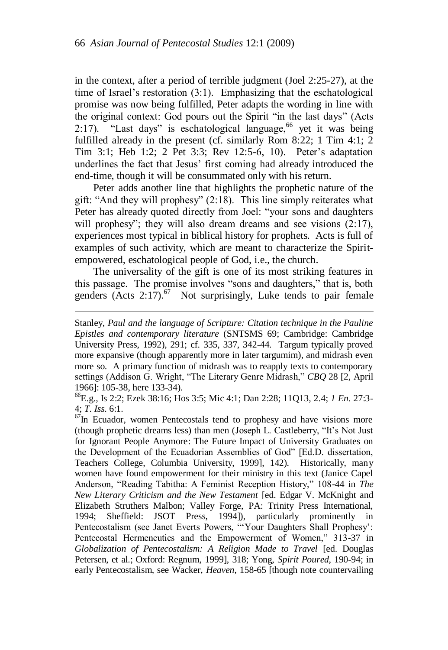in the context, after a period of terrible judgment (Joel 2:25-27), at the time of Israel"s restoration (3:1). Emphasizing that the eschatological promise was now being fulfilled, Peter adapts the wording in line with the original context: God pours out the Spirit "in the last days" (Acts 2:17). "Last days" is eschatological language,  $66$  yet it was being fulfilled already in the present (cf. similarly Rom 8:22; 1 Tim 4:1; 2 Tim 3:1; Heb 1:2; 2 Pet 3:3; Rev 12:5-6, 10). Peter"s adaptation underlines the fact that Jesus" first coming had already introduced the end-time, though it will be consummated only with his return.

Peter adds another line that highlights the prophetic nature of the gift: "And they will prophesy" (2:18). This line simply reiterates what Peter has already quoted directly from Joel: "your sons and daughters will prophesy"; they will also dream dreams and see visions (2:17), experiences most typical in biblical history for prophets. Acts is full of examples of such activity, which are meant to characterize the Spiritempowered, eschatological people of God, i.e., the church.

The universality of the gift is one of its most striking features in this passage. The promise involves "sons and daughters," that is, both genders (Acts  $2:17$ ).<sup>67</sup> Not surprisingly, Luke tends to pair female

l

<sup>66</sup>E.g., Is 2:2; Ezek 38:16; Hos 3:5; Mic 4:1; Dan 2:28; 11Q13, 2.4; *1 En*. 27:3- 4; *T. Iss*. 6:1.

 $67$ In Ecuador, women Pentecostals tend to prophesy and have visions more (though prophetic dreams less) than men (Joseph L. Castleberry, "It"s Not Just for Ignorant People Anymore: The Future Impact of University Graduates on the Development of the Ecuadorian Assemblies of God" [Ed.D. dissertation, Teachers College, Columbia University, 1999], 142). Historically, many women have found empowerment for their ministry in this text (Janice Capel Anderson, "Reading Tabitha: A Feminist Reception History," 108-44 in *The New Literary Criticism and the New Testament* [ed. Edgar V. McKnight and Elizabeth Struthers Malbon; Valley Forge, PA: Trinity Press International, 1994; Sheffield: JSOT Press, 1994]), particularly prominently in Pentecostalism (see Janet Everts Powers, "'Your Daughters Shall Prophesy': Pentecostal Hermeneutics and the Empowerment of Women," 313-37 in *Globalization of Pentecostalism: A Religion Made to Travel* [ed. Douglas Petersen, et al.; Oxford: Regnum, 1999], 318; Yong, *Spirit Poured*, 190-94; in early Pentecostalism, see Wacker, *Heaven*, 158-65 [though note countervailing

Stanley, *Paul and the language of Scripture: Citation technique in the Pauline Epistles and contemporary literature* (SNTSMS 69; Cambridge: Cambridge University Press, 1992), 291; cf. 335, 337, 342-44. Targum typically proved more expansive (though apparently more in later targumim), and midrash even more so. A primary function of midrash was to reapply texts to contemporary settings (Addison G. Wright, "The Literary Genre Midrash," *CBQ* 28 [2, April 1966]: 105-38, here 133-34).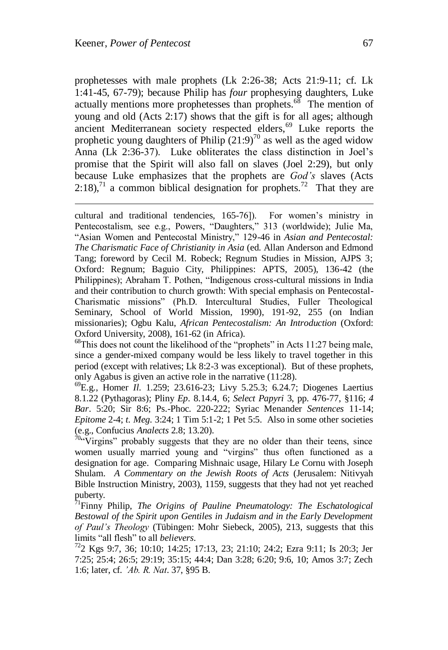prophetesses with male prophets (Lk 2:26-38; Acts 21:9-11; cf. Lk 1:41-45, 67-79); because Philip has *four* prophesying daughters, Luke actually mentions more prophetesses than prophets.<sup>68</sup> The mention of young and old (Acts 2:17) shows that the gift is for all ages; although ancient Mediterranean society respected elders,<sup>69</sup> Luke reports the prophetic young daughters of Philip  $(21:9)^{70}$  as well as the aged widow Anna (Lk 2:36-37). Luke obliterates the class distinction in Joel"s promise that the Spirit will also fall on slaves (Joel 2:29), but only because Luke emphasizes that the prophets are *God"s* slaves (Acts  $2:18$ ,<sup>71</sup> a common biblical designation for prophets.<sup>72</sup> That they are

cultural and traditional tendencies, 165-76]). For women"s ministry in Pentecostalism, see e.g., Powers, "Daughters," 313 (worldwide); Julie Ma, "Asian Women and Pentecostal Ministry," 129-46 in *Asian and Pentecostal: The Charismatic Face of Christianity in Asia* (ed. Allan Anderson and Edmond Tang; foreword by Cecil M. Robeck; Regnum Studies in Mission, AJPS 3; Oxford: Regnum; Baguio City, Philippines: APTS, 2005), 136-42 (the Philippines); Abraham T. Pothen, "Indigenous cross-cultural missions in India and their contribution to church growth: With special emphasis on Pentecostal-Charismatic missions" (Ph.D. Intercultural Studies, Fuller Theological Seminary, School of World Mission, 1990), 191-92, 255 (on Indian missionaries); Ogbu Kalu, *African Pentecostalism: An Introduction* (Oxford: Oxford University, 2008), 161-62 (in Africa).

 $68$ This does not count the likelihood of the "prophets" in Acts 11:27 being male, since a gender-mixed company would be less likely to travel together in this period (except with relatives; Lk 8:2-3 was exceptional). But of these prophets, only Agabus is given an active role in the narrative (11:28).

<sup>69</sup>E.g., Homer *Il*. 1.259; 23.616-23; Livy 5.25.3; 6.24.7; Diogenes Laertius 8.1.22 (Pythagoras); Pliny *Ep*. 8.14.4, 6; *Select Papyri* 3, pp. 476-77, §116; *4 Bar*. 5:20; Sir 8:6; Ps.-Phoc. 220-222; Syriac Menander *Sentences* 11-14; *Epitome* 2-4; *t. Meg*. 3:24; 1 Tim 5:1-2; 1 Pet 5:5. Also in some other societies (e.g., Confucius *Analects* 2.8; 13.20).

 $70$ "Virgins" probably suggests that they are no older than their teens, since women usually married young and "virgins" thus often functioned as a designation for age. Comparing Mishnaic usage, Hilary Le Cornu with Joseph Shulam. *A Commentary on the Jewish Roots of Acts* (Jerusalem: Nitivyah Bible Instruction Ministry, 2003), 1159, suggests that they had not yet reached puberty.

<sup>71</sup>Finny Philip, *The Origins of Pauline Pneumatology: The Eschatological Bestowal of the Spirit upon Gentiles in Judaism and in the Early Development of Paul"s Theology* (Tübingen: Mohr Siebeck, 2005), 213, suggests that this limits "all flesh" to all *believers*.

<sup>72</sup>2 Kgs 9:7, 36; 10:10; 14:25; 17:13, 23; 21:10; 24:2; Ezra 9:11; Is 20:3; Jer 7:25; 25:4; 26:5; 29:19; 35:15; 44:4; Dan 3:28; 6:20; 9:6, 10; Amos 3:7; Zech 1:6; later, cf. *"Ab. R. Nat*. 37, §95 B.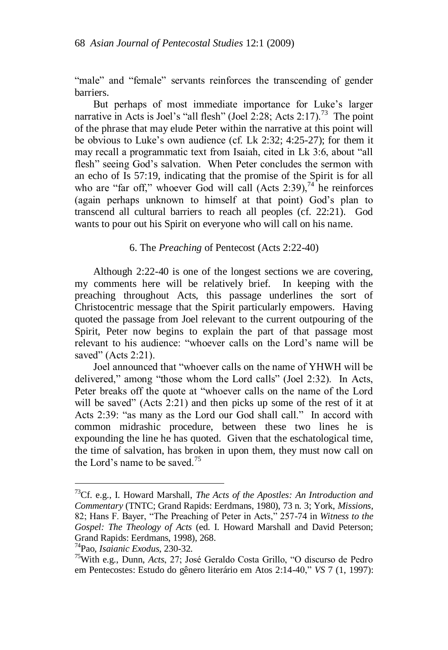"male" and "female" servants reinforces the transcending of gender barriers.

But perhaps of most immediate importance for Luke's larger narrative in Acts is Joel's "all flesh" (Joel 2:28; Acts 2:17).<sup>73</sup> The point of the phrase that may elude Peter within the narrative at this point will be obvious to Luke"s own audience (cf. Lk 2:32; 4:25-27); for them it may recall a programmatic text from Isaiah, cited in Lk 3:6, about "all flesh" seeing God's salvation. When Peter concludes the sermon with an echo of Is 57:19, indicating that the promise of the Spirit is for all who are "far off," whoever God will call (Acts  $2:39$ ),  $74$  he reinforces (again perhaps unknown to himself at that point) God"s plan to transcend all cultural barriers to reach all peoples (cf. 22:21). God wants to pour out his Spirit on everyone who will call on his name.

### 6. The *Preaching* of Pentecost (Acts 2:22-40)

Although 2:22-40 is one of the longest sections we are covering, my comments here will be relatively brief. In keeping with the preaching throughout Acts, this passage underlines the sort of Christocentric message that the Spirit particularly empowers. Having quoted the passage from Joel relevant to the current outpouring of the Spirit, Peter now begins to explain the part of that passage most relevant to his audience: "whoever calls on the Lord"s name will be saved" (Acts 2:21).

Joel announced that "whoever calls on the name of YHWH will be delivered," among "those whom the Lord calls" (Joel 2:32). In Acts, Peter breaks off the quote at "whoever calls on the name of the Lord will be saved" (Acts 2:21) and then picks up some of the rest of it at Acts 2:39: "as many as the Lord our God shall call." In accord with common midrashic procedure, between these two lines he is expounding the line he has quoted. Given that the eschatological time, the time of salvation, has broken in upon them, they must now call on the Lord's name to be saved.<sup>75</sup>

<sup>73</sup>Cf. e.g., I. Howard Marshall, *The Acts of the Apostles: An Introduction and Commentary* (TNTC; Grand Rapids: Eerdmans, 1980), 73 n. 3; York, *Missions*, 82; Hans F. Bayer, "The Preaching of Peter in Acts," 257-74 in *Witness to the Gospel: The Theology of Acts* (ed. I. Howard Marshall and David Peterson; Grand Rapids: Eerdmans, 1998), 268.

<sup>74</sup>Pao, *Isaianic Exodus*, 230-32.

<sup>75</sup>With e.g., Dunn, *Acts*, 27; José Geraldo Costa Grillo, "O discurso de Pedro em Pentecostes: Estudo do gênero literário em Atos 2:14-40," *VS* 7 (1, 1997):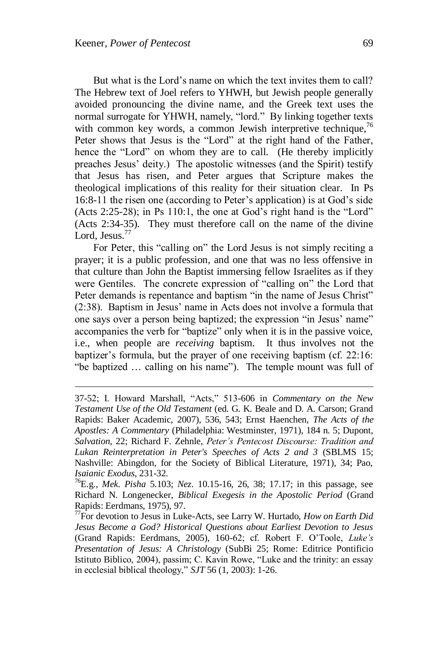But what is the Lord's name on which the text invites them to call? The Hebrew text of Joel refers to YHWH, but Jewish people generally avoided pronouncing the divine name, and the Greek text uses the normal surrogate for YHWH, namely, "lord." By linking together texts with common key words, a common Jewish interpretive technique,  $76$ Peter shows that Jesus is the "Lord" at the right hand of the Father, hence the "Lord" on whom they are to call. (He thereby implicitly preaches Jesus" deity.) The apostolic witnesses (and the Spirit) testify that Jesus has risen, and Peter argues that Scripture makes the theological implications of this reality for their situation clear. In Ps 16:8-11 the risen one (according to Peter"s application) is at God"s side (Acts 2:25-28); in Ps 110:1, the one at God"s right hand is the "Lord" (Acts 2:34-35). They must therefore call on the name of the divine Lord, Jesus.<sup>77</sup>

For Peter, this "calling on" the Lord Jesus is not simply reciting a prayer; it is a public profession, and one that was no less offensive in that culture than John the Baptist immersing fellow Israelites as if they were Gentiles. The concrete expression of "calling on" the Lord that Peter demands is repentance and baptism "in the name of Jesus Christ" (2:38). Baptism in Jesus" name in Acts does not involve a formula that one says over a person being baptized; the expression "in Jesus" name" accompanies the verb for "baptize" only when it is in the passive voice, i.e., when people are *receiving* baptism. It thus involves not the baptizer's formula, but the prayer of one receiving baptism (cf. 22:16: "be baptized … calling on his name"). The temple mount was full of

<sup>37-52;</sup> I. Howard Marshall, "Acts," 513-606 in *Commentary on the New Testament Use of the Old Testament* (ed. G. K. Beale and D. A. Carson; Grand Rapids: Baker Academic, 2007), 536, 543; Ernst Haenchen, *The Acts of the Apostles: A Commentary* (Philadelphia: Westminster, 1971), 184 n. 5; Dupont, *Salvation*, 22; Richard F. Zehnle, *Peter"s Pentecost Discourse: Tradition and Lukan Reinterpretation in Peter's Speeches of Acts 2 and 3* (SBLMS 15; Nashville: Abingdon, for the Society of Biblical Literature, 1971), 34; Pao, *Isaianic Exodus*, 231-32.

<sup>76</sup>E.g., *Mek. Pisha* 5.103; *Nez*. 10.15-16, 26, 38; 17.17; in this passage, see Richard N. Longenecker, *Biblical Exegesis in the Apostolic Period* (Grand Rapids: Eerdmans, 1975), 97.

<sup>77</sup>For devotion to Jesus in Luke-Acts, see Larry W. Hurtado, *How on Earth Did Jesus Become a God? Historical Questions about Earliest Devotion to Jesus* (Grand Rapids: Eerdmans, 2005), 160-62; cf. Robert F. O"Toole, *Luke"s Presentation of Jesus: A Christology* (SubBi 25; Rome: Editrice Pontificio Istituto Biblico, 2004), passim; C. Kavin Rowe, "Luke and the trinity: an essay in ecclesial biblical theology," *SJT* 56 (1, 2003): 1-26.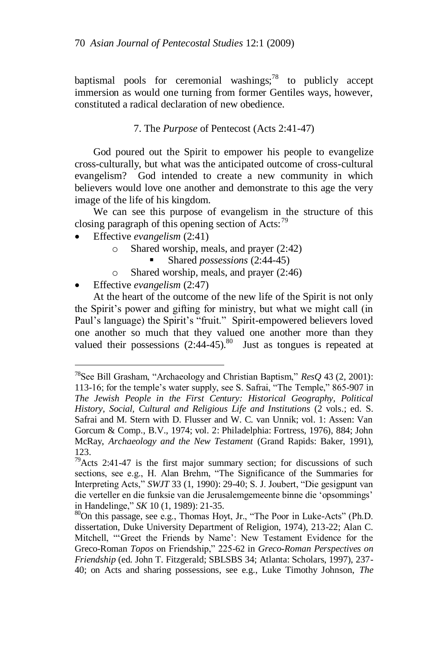baptismal pools for ceremonial washings; $^{78}$  to publicly accept immersion as would one turning from former Gentiles ways, however, constituted a radical declaration of new obedience.

## 7. The *Purpose* of Pentecost (Acts 2:41-47)

God poured out the Spirit to empower his people to evangelize cross-culturally, but what was the anticipated outcome of cross-cultural evangelism? God intended to create a new community in which believers would love one another and demonstrate to this age the very image of the life of his kingdom.

We can see this purpose of evangelism in the structure of this closing paragraph of this opening section of Acts:<sup>79</sup>

- Effective *evangelism* (2:41)
	- Shared worship, meals, and prayer  $(2:42)$ 
		- Shared *possessions* (2:44-45)
	- o Shared worship, meals, and prayer (2:46)
- Effective *evangelism* (2:47)

 $\overline{a}$ 

At the heart of the outcome of the new life of the Spirit is not only the Spirit"s power and gifting for ministry, but what we might call (in Paul's language) the Spirit's "fruit." Spirit-empowered believers loved one another so much that they valued one another more than they valued their possessions  $(2.44-45)^{80}$  Just as tongues is repeated at

<sup>78</sup>See Bill Grasham, "Archaeology and Christian Baptism," *ResQ* 43 (2, 2001): 113-16; for the temple"s water supply, see S. Safrai, "The Temple," 865-907 in *The Jewish People in the First Century: Historical Geography, Political History, Social, Cultural and Religious Life and Institutions* (2 vols.; ed. S. Safrai and M. Stern with D. Flusser and W. C. van Unnik; vol. 1: Assen: Van Gorcum & Comp., B.V., 1974; vol. 2: Philadelphia: Fortress, 1976), 884; John McRay, *Archaeology and the New Testament* (Grand Rapids: Baker, 1991), 123.

 $79$ Acts 2:41-47 is the first major summary section; for discussions of such sections, see e.g., H. Alan Brehm, "The Significance of the Summaries for Interpreting Acts," *SWJT* 33 (1, 1990): 29-40; S. J. Joubert, "Die gesigpunt van die verteller en die funksie van die Jerusalemgemeente binne die "opsommings" in Handelinge," *SK* 10 (1, 1989): 21-35.

<sup>80</sup>On this passage, see e.g., Thomas Hoyt, Jr., "The Poor in Luke-Acts" (Ph.D. dissertation, Duke University Department of Religion, 1974), 213-22; Alan C. Mitchell, ""Greet the Friends by Name': New Testament Evidence for the Greco-Roman *Topos* on Friendship," 225-62 in *Greco-Roman Perspectives on Friendship* (ed. John T. Fitzgerald; SBLSBS 34; Atlanta: Scholars, 1997), 237- 40; on Acts and sharing possessions, see e.g., Luke Timothy Johnson, *The*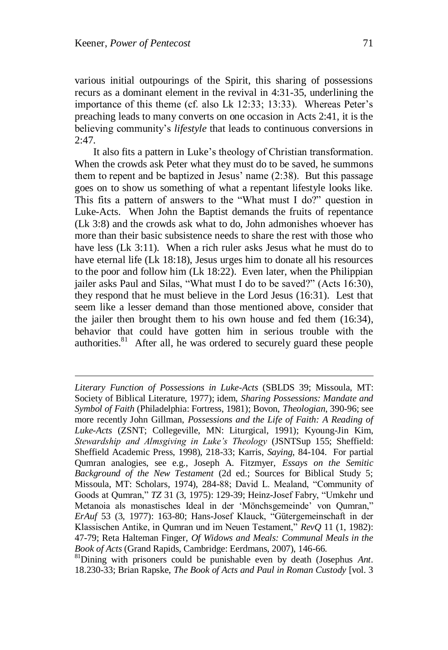various initial outpourings of the Spirit, this sharing of possessions recurs as a dominant element in the revival in 4:31-35, underlining the importance of this theme (cf. also Lk 12:33; 13:33). Whereas Peter's preaching leads to many converts on one occasion in Acts 2:41, it is the believing community"s *lifestyle* that leads to continuous conversions in  $2:47.$ 

It also fits a pattern in Luke"s theology of Christian transformation. When the crowds ask Peter what they must do to be saved, he summons them to repent and be baptized in Jesus' name  $(2:38)$ . But this passage goes on to show us something of what a repentant lifestyle looks like. This fits a pattern of answers to the "What must I do?" question in Luke-Acts. When John the Baptist demands the fruits of repentance (Lk 3:8) and the crowds ask what to do, John admonishes whoever has more than their basic subsistence needs to share the rest with those who have less (Lk 3:11). When a rich ruler asks Jesus what he must do to have eternal life (Lk 18:18), Jesus urges him to donate all his resources to the poor and follow him (Lk 18:22). Even later, when the Philippian jailer asks Paul and Silas, "What must I do to be saved?" (Acts 16:30), they respond that he must believe in the Lord Jesus (16:31). Lest that seem like a lesser demand than those mentioned above, consider that the jailer then brought them to his own house and fed them (16:34), behavior that could have gotten him in serious trouble with the authorities. $81$  After all, he was ordered to securely guard these people

*Literary Function of Possessions in Luke-Acts* (SBLDS 39; Missoula, MT: Society of Biblical Literature, 1977); idem, *Sharing Possessions: Mandate and Symbol of Faith* (Philadelphia: Fortress, 1981); Bovon, *Theologian*, 390-96; see more recently John Gillman, *Possessions and the Life of Faith: A Reading of Luke-Acts* (ZSNT; Collegeville, MN: Liturgical, 1991); Kyoung-Jin Kim, *Stewardship and Almsgiving in Luke"s Theology* (JSNTSup 155; Sheffield: Sheffield Academic Press, 1998), 218-33; Karris, *Saying*, 84-104. For partial Qumran analogies, see e.g., Joseph A. Fitzmyer, *Essays on the Semitic Background of the New Testament* (2d ed.; Sources for Biblical Study 5; Missoula, MT: Scholars, 1974), 284-88; David L. Mealand, "Community of Goods at Qumran," *TZ* 31 (3, 1975): 129-39; Heinz-Josef Fabry, "Umkehr und Metanoia als monastisches Ideal in der "Mönchsgemeinde" von Qumran," *ErAuf* 53 (3, 1977): 163-80; Hans-Josef Klauck, "Gütergemeinschaft in der Klassischen Antike, in Qumran und im Neuen Testament," *RevQ* 11 (1, 1982): 47-79; Reta Halteman Finger, *Of Widows and Meals: Communal Meals in the Book of Acts* (Grand Rapids, Cambridge: Eerdmans, 2007), 146-66.

<sup>81</sup>Dining with prisoners could be punishable even by death (Josephus *Ant*. 18.230-33; Brian Rapske, *The Book of Acts and Paul in Roman Custody* [vol. 3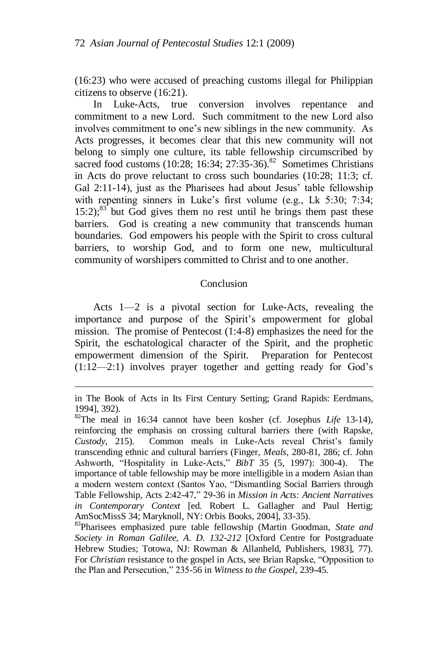(16:23) who were accused of preaching customs illegal for Philippian citizens to observe (16:21).

In Luke-Acts, true conversion involves repentance and commitment to a new Lord. Such commitment to the new Lord also involves commitment to one"s new siblings in the new community. As Acts progresses, it becomes clear that this new community will not belong to simply one culture, its table fellowship circumscribed by sacred food customs  $(10:28; 16:34; 27:35-36).$ <sup>82</sup> Sometimes Christians in Acts do prove reluctant to cross such boundaries (10:28; 11:3; cf. Gal 2:11-14), just as the Pharisees had about Jesus' table fellowship with repenting sinners in Luke's first volume (e.g., Lk 5:30; 7:34;  $15:2$ :<sup>83</sup> but God gives them no rest until he brings them past these barriers. God is creating a new community that transcends human boundaries. God empowers his people with the Spirit to cross cultural barriers, to worship God, and to form one new, multicultural community of worshipers committed to Christ and to one another.

### **Conclusion**

Acts 1—2 is a pivotal section for Luke-Acts, revealing the importance and purpose of the Spirit's empowerment for global mission. The promise of Pentecost (1:4-8) emphasizes the need for the Spirit, the eschatological character of the Spirit, and the prophetic empowerment dimension of the Spirit. Preparation for Pentecost (1:12—2:1) involves prayer together and getting ready for God"s

in The Book of Acts in Its First Century Setting; Grand Rapids: Eerdmans, 1994], 392).

<sup>82</sup>The meal in 16:34 cannot have been kosher (cf. Josephus *Life* 13-14), reinforcing the emphasis on crossing cultural barriers there (with Rapske, *Custody*, 215). Common meals in Luke-Acts reveal Christ's family transcending ethnic and cultural barriers (Finger, *Meals*, 280-81, 286; cf. John Ashworth, "Hospitality in Luke-Acts," *BibT* 35 (5, 1997): 300-4). The importance of table fellowship may be more intelligible in a modern Asian than a modern western context (Santos Yao, "Dismantling Social Barriers through Table Fellowship, Acts 2:42-47," 29-36 in *Mission in Acts: Ancient Narratives in Contemporary Context* [ed. Robert L. Gallagher and Paul Hertig; AmSocMissS 34; Maryknoll, NY: Orbis Books, 2004], 33-35).

<sup>83</sup>Pharisees emphasized pure table fellowship (Martin Goodman, *State and Society in Roman Galilee, A. D. 132-212* [Oxford Centre for Postgraduate Hebrew Studies; Totowa, NJ: Rowman & Allanheld, Publishers, 1983], 77). For *Christian* resistance to the gospel in Acts, see Brian Rapske, "Opposition to the Plan and Persecution," 235-56 in *Witness to the Gospel*, 239-45.